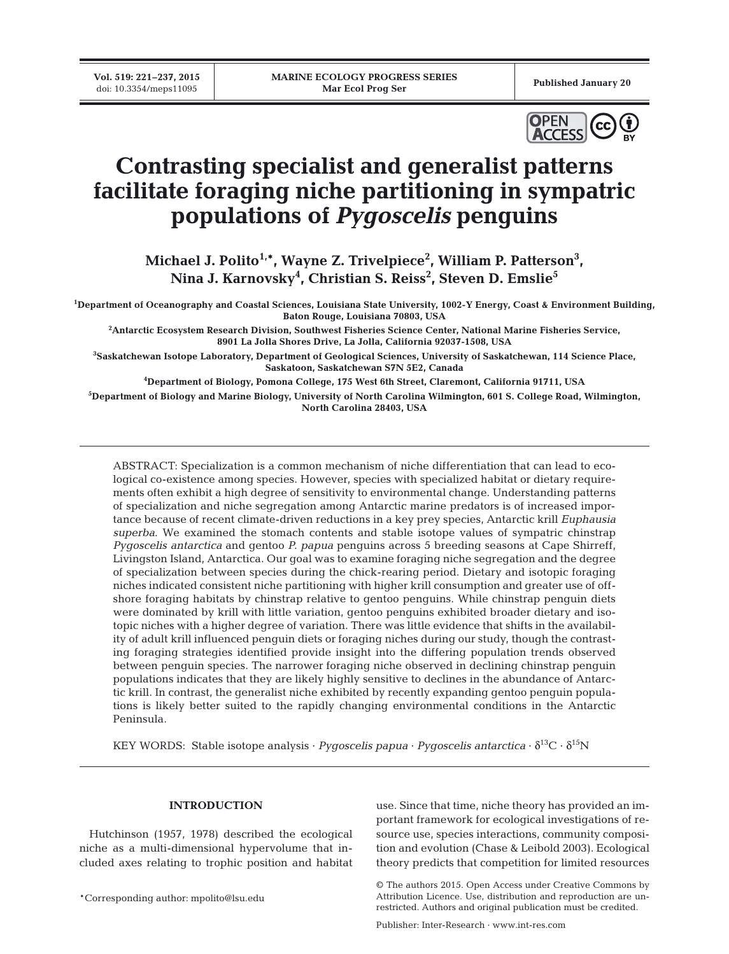

# **Contrasting specialist and generalist patterns facilitate foraging niche partitioning in sympatric populations of** *Pygoscelis* **penguins**

Michael J. Polito<sup>1,\*</sup>, Wayne Z. Trivelpiece<sup>2</sup>, William P. Patterson<sup>3</sup>, **Nina J. Karnovsky4 , Christian S. Reiss2 , Steven D. Emslie5**

**1 Department of Oceanography and Coastal Sciences, Louisiana State University, 1002-Y Energy, Coast & Environment Building, Baton Rouge, Louisiana 70803, USA**

**2 Antarctic Ecosystem Research Division, Southwest Fisheries Science Center, National Marine Fisheries Service, 8901 La Jolla Shores Drive, La Jolla, California 92037-1508, USA**

**3 Saskatchewan Isotope Laboratory, Department of Geological Sciences, University of Saskatchewan, 114 Science Place, Saskatoon, Saskatchewan S7N 5E2, Canada**

**4 Department of Biology, Pomona College, 175 West 6th Street, Claremont, California 91711, USA**

**5 Department of Biology and Marine Biology, University of North Carolina Wilmington, 601 S. College Road, Wilmington, North Carolina 28403, USA**

ABSTRACT: Specialization is a common mechanism of niche differentiation that can lead to ecological co-existence among species. However, species with specialized habitat or dietary requirements often exhibit a high degree of sensitivity to environmental change. Understanding patterns of specialization and niche segregation among Antarctic marine predators is of increased importance because of recent climate-driven reductions in a key prey species, Antarctic krill *Euphausia superba*. We examined the stomach contents and stable isotope values of sympatric chinstrap *Pygoscelis antarctica* and gentoo *P. papua* penguins across 5 breeding seasons at Cape Shirreff, Livingston Island, Antarctica. Our goal was to examine foraging niche segregation and the degree of specialization between species during the chick-rearing period. Dietary and isotopic foraging niches indicated consistent niche partitioning with higher krill consumption and greater use of offshore foraging habitats by chinstrap relative to gentoo penguins. While chinstrap penguin diets were dominated by krill with little variation, gentoo penguins exhibited broader dietary and isotopic niches with a higher degree of variation. There was little evidence that shifts in the availability of adult krill influenced penguin diets or foraging niches during our study, though the contrasting foraging strategies identified provide insight into the differing population trends observed between penguin species. The narrower foraging niche observed in declining chinstrap penguin populations indicates that they are likely highly sensitive to declines in the abundance of Antarctic krill. In contrast, the generalist niche exhibited by recently expanding gentoo penguin populations is likely better suited to the rapidly changing environmental conditions in the Antarctic Peninsula.

KEY WORDS: Stable isotope analysis · *Pygoscelis papua* · *Pygoscelis antarctica* ·  $\delta^{13}C \cdot \delta^{15}N$ 

# **INTRODUCTION**

Hutchinson (1957, 1978) described the ecological niche as a multi-dimensional hypervolume that in cluded axes relating to trophic position and habitat

\*Corresponding author: mpolito@lsu.edu

use. Since that time, niche theory has provided an important framework for ecological investigations of resource use, species interactions, community composition and evolution (Chase & Leibold 2003). Ecological theory predicts that competition for limited resources

Publisher: Inter-Research · www.int-res.com

<sup>©</sup> The authors 2015. Open Access under Creative Commons by Attribution Licence. Use, distribution and reproduction are unrestricted. Authors and original publication must be credited.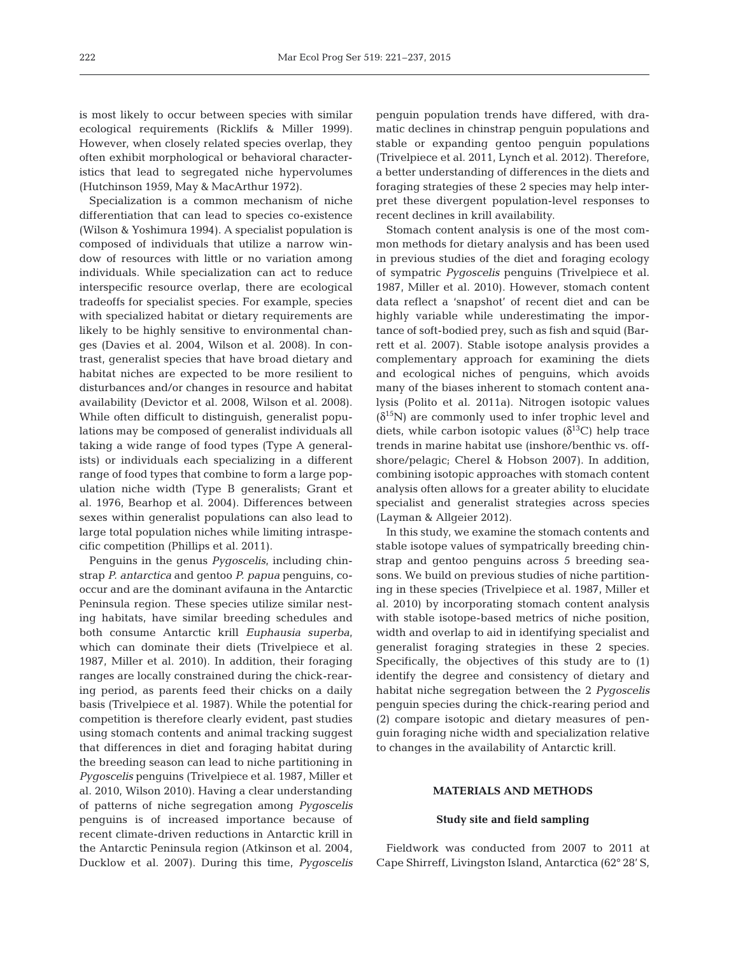is most likely to occur between species with similar ecological requirements (Ricklifs & Miller 1999). However, when closely related species overlap, they often exhibit morphological or behavioral characteristics that lead to segregated niche hypervolumes (Hutchinson 1959, May & MacArthur 1972).

Specialization is a common mechanism of niche differentiation that can lead to species co-existence (Wilson & Yoshimura 1994). A specialist population is composed of individuals that utilize a narrow window of resources with little or no variation among individuals. While specialization can act to reduce interspecific resource overlap, there are ecological tradeoffs for specialist species. For example, species with specialized habitat or dietary requirements are likely to be highly sensitive to environmental changes (Davies et al. 2004, Wilson et al. 2008). In contrast, generalist species that have broad dietary and habitat niches are expected to be more resilient to disturbances and/or changes in resource and habitat availability (Devictor et al. 2008, Wilson et al. 2008). While often difficult to distinguish, generalist populations may be composed of generalist individuals all taking a wide range of food types (Type A generalists) or individuals each specializing in a different range of food types that combine to form a large population niche width (Type B generalists; Grant et al. 1976, Bearhop et al. 2004). Differences between sexes within generalist populations can also lead to large total population niches while limiting intraspecific competition (Phillips et al. 2011).

Penguins in the genus *Pygoscelis*, including chinstrap *P. antarctica* and gentoo *P. papua* penguins, cooccur and are the dominant avifauna in the Antarctic Peninsula region. These species utilize similar nesting habitats, have similar breeding schedules and both consume Antarctic krill *Euphausia superba*, which can dominate their diets (Trivelpiece et al. 1987, Miller et al. 2010). In addition, their foraging ranges are locally constrained during the chick-rearing period, as parents feed their chicks on a daily basis (Trivelpiece et al. 1987). While the potential for competition is therefore clearly evident, past studies using stomach contents and animal tracking suggest that differences in diet and foraging habitat during the breeding season can lead to niche partitioning in *Pygoscelis* penguins (Trivelpiece et al. 1987, Miller et al. 2010, Wilson 2010). Having a clear understanding of patterns of niche segregation among *Pygoscelis* penguins is of increased importance because of recent climate-driven reductions in Antarctic krill in the Antarctic Peninsula region (Atkinson et al. 2004, Ducklow et al. 2007). During this time, *Pygoscelis* penguin population trends have differed, with dramatic declines in chinstrap penguin populations and stable or expanding gentoo penguin populations (Trivelpiece et al. 2011, Lynch et al. 2012). Therefore, a better understanding of differences in the diets and foraging strategies of these 2 species may help interpret these divergent population-level responses to recent declines in krill availability.

Stomach content analysis is one of the most common methods for dietary analysis and has been used in previous studies of the diet and foraging ecology of sympatric *Pygoscelis* penguins (Trivelpiece et al. 1987, Miller et al. 2010). However, stomach content data reflect a 'snapshot' of recent diet and can be highly variable while underestimating the importance of soft-bodied prey, such as fish and squid (Barrett et al. 2007). Stable isotope analysis provides a complementary approach for examining the diets and ecological niches of penguins, which avoids many of the biases inherent to stomach content ana lysis (Polito et al. 2011a). Nitrogen isotopic values  $(\delta^{15}N)$  are commonly used to infer trophic level and diets, while carbon isotopic values  $(\delta^{13}C)$  help trace trends in marine habitat use (inshore/benthic vs. offshore/pelagic; Cherel & Hobson 2007). In addition, combining isotopic approaches with stomach content analysis often allows for a greater ability to elucidate specialist and generalist strategies across species (Layman & Allgeier 2012).

In this study, we examine the stomach contents and stable isotope values of sympatrically breeding chinstrap and gentoo penguins across 5 breeding seasons. We build on previous studies of niche partitioning in these species (Trivelpiece et al. 1987, Miller et al. 2010) by incorporating stomach content analysis with stable isotope-based metrics of niche position, width and overlap to aid in identifying specialist and generalist foraging strategies in these 2 species. Specifically, the objectives of this study are to (1) identify the degree and consistency of dietary and habitat niche segregation between the 2 *Pygoscelis* penguin species during the chick-rearing period and (2) compare isotopic and dietary measures of penguin foraging niche width and specialization relative to changes in the availability of Antarctic krill.

## **MATERIALS AND METHODS**

#### **Study site and field sampling**

Fieldwork was conducted from 2007 to 2011 at Cape Shirreff, Livingston Island, Antarctica (62° 28' S,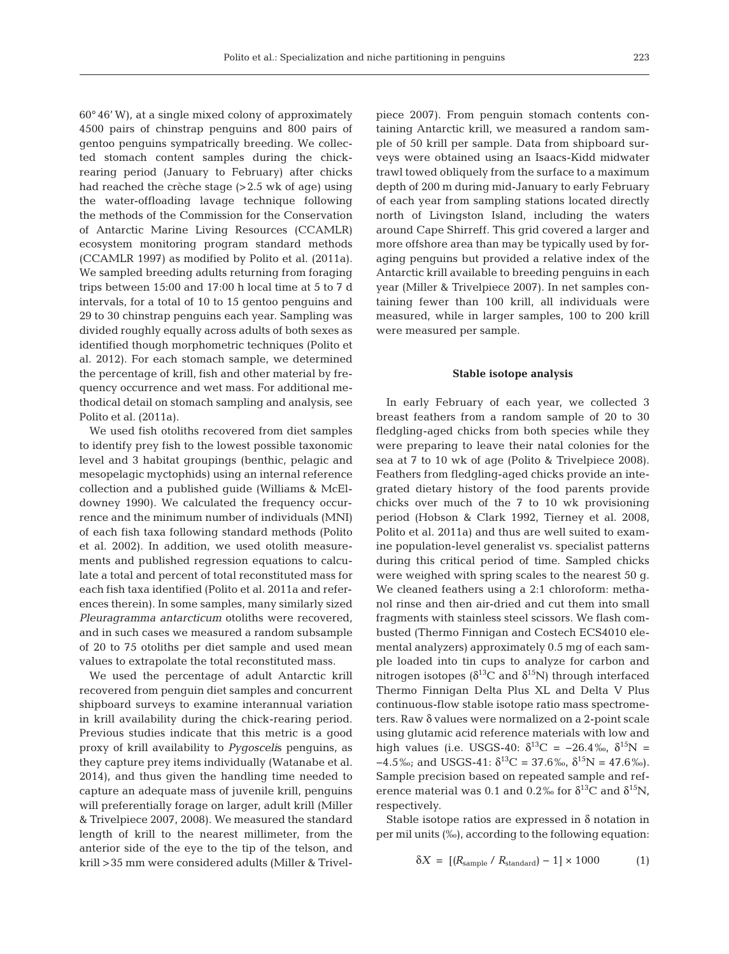60° 46' W), at a single mixed colony of approximately 4500 pairs of chinstrap penguins and 800 pairs of gentoo penguins sympatrically breeding. We collec ted stomach content samples during the chickrearing period (January to February) after chicks had reached the crèche stage (>2.5 wk of age) using the water-offloading lavage technique following the methods of the Commission for the Conservation of Antarctic Marine Living Resources (CCAMLR) ecosystem monitoring program standard methods (CCAMLR 1997) as modified by Polito et al. (2011a). We sampled breeding adults returning from foraging trips between 15:00 and 17:00 h local time at 5 to 7 d intervals, for a total of 10 to 15 gentoo penguins and 29 to 30 chinstrap penguins each year. Sampling was divided roughly equally across adults of both sexes as identified though morphometric techniques (Polito et al. 2012). For each stomach sample, we determined the percentage of krill, fish and other material by frequency occurrence and wet mass. For additional methodical detail on stomach sampling and analysis, see Polito et al. (2011a).

We used fish otoliths recovered from diet samples to identify prey fish to the lowest possible taxonomic level and 3 habitat groupings (benthic, pelagic and mesopelagic myctophids) using an internal reference collection and a published guide (Williams & McEldowney 1990). We calculated the frequency occurrence and the minimum number of individuals (MNI) of each fish taxa following standard methods (Polito et al. 2002). In addition, we used otolith measurements and published regression equations to calculate a total and percent of total reconstituted mass for each fish taxa identified (Polito et al. 2011a and references therein). In some samples, many similarly sized Pleuragramma antarcticum otoliths were recovered, and in such cases we measured a random subsample of 20 to 75 otoliths per diet sample and used mean values to extrapolate the total reconstituted mass.

We used the percentage of adult Antarctic krill recovered from penguin diet samples and concurrent shipboard surveys to examine interannual variation in krill availability during the chick-rearing period. Previous studies indicate that this metric is a good proxy of krill availability to *Pygosceli*s penguins, as they capture prey items individually (Watanabe et al. 2014), and thus given the handling time needed to capture an adequate mass of juvenile krill, penguins will preferentially forage on larger, adult krill (Miller & Trivelpiece 2007, 2008). We measured the standard length of krill to the nearest millimeter, from the anterior side of the eye to the tip of the telson, and krill >35 mm were considered adults (Miller & Trivelpiece 2007). From penguin stomach contents containing Antarctic krill, we measured a random sample of 50 krill per sample. Data from shipboard surveys were obtained using an Isaacs-Kidd midwater trawl towed obliquely from the surface to a maximum depth of 200 m during mid-January to early February of each year from sampling stations located directly north of Livingston Island, including the waters around Cape Shirreff. This grid covered a larger and more offshore area than may be typically used by foraging penguins but provided a relative index of the Antarctic krill available to breeding penguins in each year (Miller & Trivelpiece 2007). In net samples containing fewer than 100 krill, all individuals were measured, while in larger samples, 100 to 200 krill were measured per sample.

#### **Stable isotope analysis**

In early February of each year, we collected 3 breast feathers from a random sample of 20 to 30 fledgling-aged chicks from both species while they were preparing to leave their natal colonies for the sea at 7 to 10 wk of age (Polito & Trivelpiece 2008). Feathers from fledgling-aged chicks provide an integrated dietary history of the food parents provide chicks over much of the 7 to 10 wk provisioning period (Hobson & Clark 1992, Tierney et al. 2008, Polito et al. 2011a) and thus are well suited to examine population-level generalist vs. specialist patterns during this critical period of time. Sampled chicks were weighed with spring scales to the nearest 50 g. We cleaned feathers using a 2:1 chloroform: methanol rinse and then air-dried and cut them into small fragments with stainless steel scissors. We flash combusted (Thermo Finnigan and Costech ECS4010 elemental analyzers) approximately 0.5 mg of each sample loaded into tin cups to analyze for carbon and nitrogen isotopes ( $\delta^{13}C$  and  $\delta^{15}N$ ) through interfaced Thermo Finnigan Delta Plus XL and Delta V Plus continuous-flow stable isotope ratio mass spectrometers. Raw δ values were normalized on a 2-point scale using glutamic acid reference materials with low and high values (i.e. USGS-40:  $\delta^{13}C = -26.4\%$ ,  $\delta^{15}N =$  $-4.5\%$ ; and USGS-41:  $\delta^{13}C = 37.6\%$ ,  $\delta^{15}N = 47.6\%$ ). Sample precision based on repeated sample and reference material was 0.1 and 0.2‰ for  $\delta^{13}C$  and  $\delta^{15}N$ , respectively.

Stable isotope ratios are expressed in  $\delta$  notation in per mil units (‰), according to the following equation:

$$
\delta X = \left[ \left( R_{\text{sample}} / R_{\text{standard}} \right) - 1 \right] \times 1000 \tag{1}
$$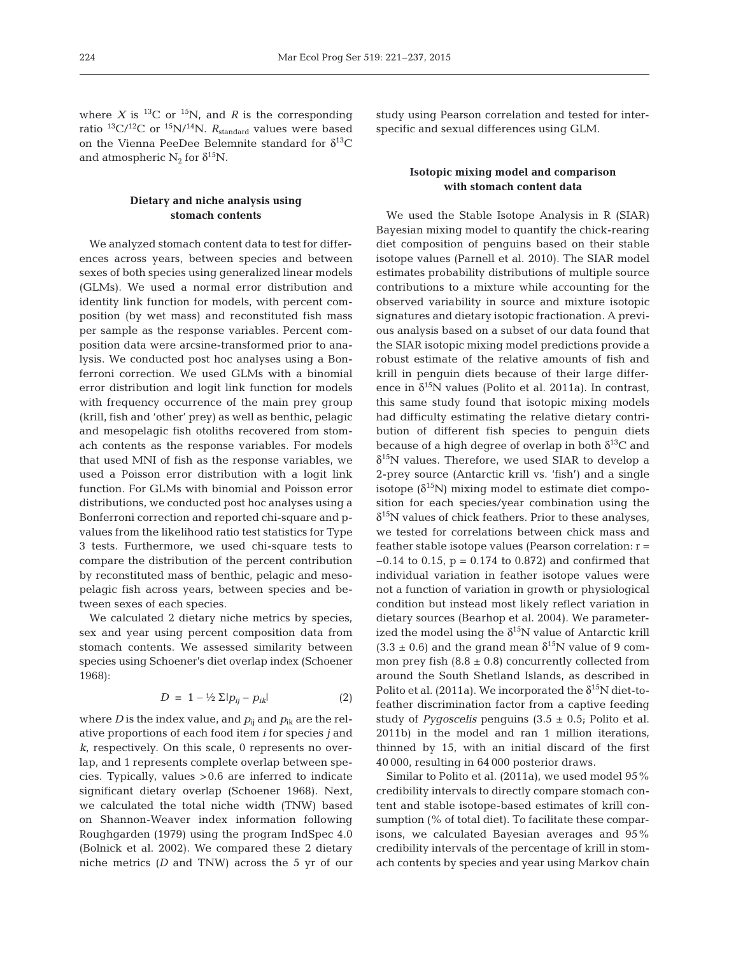where *X* is <sup>13</sup>C or <sup>15</sup>N, and *R* is the corresponding ratio <sup>13</sup>C/<sup>12</sup>C or <sup>15</sup>N/<sup>14</sup>N. *R*<sub>standard</sub> values were based on the Vienna PeeDee Belemnite standard for  $\delta^{13}C$ and atmospheric  $N_2$  for  $\delta^{15}N$ .

# **Dietary and niche analysis using stomach contents**

We analyzed stomach content data to test for differences across years, between species and between sexes of both species using generalized linear models (GLMs). We used a normal error distribution and identity link function for models, with percent composition (by wet mass) and reconstituted fish mass per sample as the response variables. Percent composition data were arcsine-transformed prior to ana lysis. We conducted post hoc analyses using a Bonferroni correction. We used GLMs with a binomial error distribution and logit link function for models with frequency occurrence of the main prey group (krill, fish and 'other' prey) as well as benthic, pelagic and mesopelagic fish otoliths recovered from stomach contents as the response variables. For models that used MNI of fish as the response variables, we used a Poisson error distribution with a logit link function. For GLMs with binomial and Poisson error distributions, we conducted post hoc analyses using a Bonferroni correction and reported chi-square and pvalues from the likelihood ratio test statistics for Type 3 tests. Furthermore, we used chi-square tests to compare the distribution of the percent contribution by reconstituted mass of benthic, pelagic and mesopelagic fish across years, between species and be tween sexes of each species.

We calculated 2 dietary niche metrics by species, sex and year using percent composition data from stomach contents. We assessed similarity between species using Schoener's diet overlap index (Schoener 1968):

$$
D = 1 - \frac{1}{2} \sum |p_{ij} - p_{ik}| \tag{2}
$$

where *D* is the index value, and  $p_{ii}$  and  $p_{ik}$  are the relative proportions of each food item *i* for species *j* and *k*, respectively. On this scale, 0 represents no overlap, and 1 represents complete overlap between species. Typically, values >0.6 are inferred to indicate significant dietary overlap (Schoener 1968). Next, we calculated the total niche width (TNW) based on Shannon-Weaver index information following Roughgarden (1979) using the program IndSpec 4.0 (Bolnick et al. 2002). We compared these 2 dietary niche metrics *(D* and TNW) across the 5 yr of our study using Pearson correlation and tested for interspecific and sexual differences using GLM.

## **Isotopic mixing model and comparison with stomach content data**

We used the Stable Isotope Analysis in R (SIAR) Bayesian mixing model to quantify the chick-rearing diet composition of penguins based on their stable isotope values (Parnell et al. 2010). The SIAR model estimates probability distributions of multiple source contributions to a mixture while accounting for the observed variability in source and mixture isotopic signatures and dietary isotopic fractionation. A previous analysis based on a subset of our data found that the SIAR isotopic mixing model predictions provide a robust estimate of the relative amounts of fish and krill in penguin diets because of their large difference in  $\delta^{15}N$  values (Polito et al. 2011a). In contrast, this same study found that isotopic mixing models had difficulty estimating the relative dietary contribution of different fish species to penguin diets because of a high degree of overlap in both  $\delta^{13}$ C and  $\delta^{15}$ N values. Therefore, we used SIAR to develop a 2-prey source (Antarctic krill vs. 'fish') and a single isotope  $(\delta^{15}N)$  mixing model to estimate diet composition for each species/year combination using the  $\delta^{15}$ N values of chick feathers. Prior to these analyses, we tested for correlations between chick mass and feather stable isotope values (Pearson correlation: r = −0.14 to 0.15, p = 0.174 to 0.872) and confirmed that individual variation in feather isotope values were not a function of variation in growth or physiological condition but instead most likely reflect variation in dietary sources (Bearhop et al. 2004). We parameterized the model using the  $\delta^{15}N$  value of Antarctic krill  $(3.3 \pm 0.6)$  and the grand mean  $\delta^{15}$ N value of 9 common prey fish  $(8.8 \pm 0.8)$  concurrently collected from around the South Shetland Islands, as described in Polito et al. (2011a). We incorporated the  $\delta^{15}N$  diet-tofeather discrimination factor from a captive feeding study of *Pygoscelis* penguins (3.5 ± 0.5; Polito et al. 2011b) in the model and ran 1 million iterations, thinned by 15, with an initial discard of the first 40 000, resulting in 64 000 posterior draws.

Similar to Polito et al. (2011a), we used model 95% credibility intervals to directly compare stomach content and stable isotope-based estimates of krill consumption (% of total diet). To facilitate these comparisons, we calculated Bayesian averages and 95% credibility intervals of the percentage of krill in stomach contents by species and year using Markov chain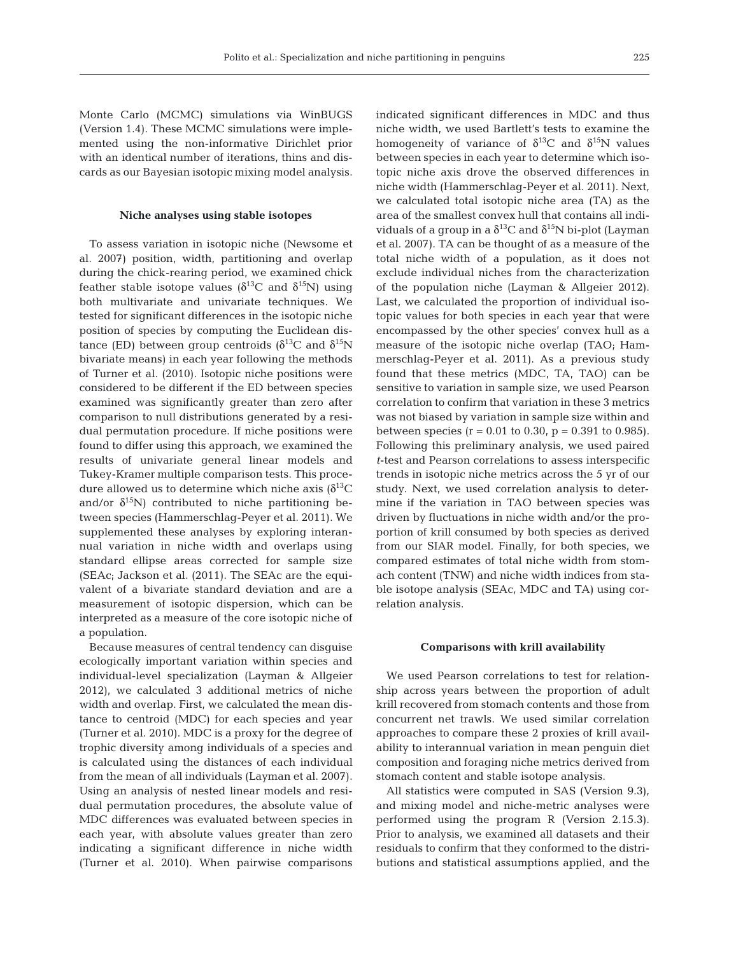Monte Carlo (MCMC) simulations via WinBUGS (Version 1.4). These MCMC simulations were implemented using the non-informative Dirichlet prior with an identical number of iterations, thins and discards as our Bayesian isotopic mixing model analysis.

#### **Niche analyses using stable isotopes**

To assess variation in isotopic niche (Newsome et al. 2007) position, width, partitioning and overlap during the chick-rearing period, we examined chick feather stable isotope values ( $\delta^{13}$ C and  $\delta^{15}$ N) using both multivariate and univariate techniques. We tested for significant differences in the isotopic niche position of species by computing the Euclidean distance (ED) between group centroids ( $δ$ <sup>13</sup>C and  $δ$ <sup>15</sup>N bivariate means) in each year following the methods of Turner et al. (2010). Isotopic niche positions were considered to be different if the ED between species examined was significantly greater than zero after comparison to null distributions generated by a residual permutation procedure. If niche positions were found to differ using this approach, we examined the results of univariate general linear models and Tukey-Kramer multiple comparison tests. This procedure allowed us to determine which niche axis  $\delta^{13}C$ and/or  $\delta^{15}$ N) contributed to niche partitioning between species (Hammerschlag-Peyer et al. 2011). We supplemented these analyses by exploring interannual variation in niche width and overlaps using standard ellipse areas corrected for sample size (SEAc; Jackson et al. (2011). The SEAc are the equi valent of a bivariate standard deviation and are a measurement of isotopic dispersion, which can be interpreted as a measure of the core isotopic niche of a population.

Because measures of central tendency can disguise ecologically important variation within species and individual-level specialization (Layman & Allgeier 2012), we calculated 3 additional metrics of niche width and overlap. First, we calculated the mean distance to centroid (MDC) for each species and year (Turner et al. 2010). MDC is a proxy for the degree of trophic diversity among individuals of a species and is calculated using the distances of each individual from the mean of all individuals (Layman et al. 2007). Using an analysis of nested linear models and residual permutation procedures, the absolute value of MDC differences was evaluated between species in each year, with absolute values greater than zero indicating a significant difference in niche width (Turner et al. 2010). When pairwise comparisons

indicated significant differences in MDC and thus niche width, we used Bartlett's tests to examine the homogeneity of variance of  $\delta^{13}C$  and  $\delta^{15}N$  values between species in each year to determine which isotopic niche axis drove the observed differences in niche width (Hammerschlag-Peyer et al. 2011). Next, we calculated total isotopic niche area (TA) as the area of the smallest convex hull that contains all individuals of a group in a  $\delta^{13}$ C and  $\delta^{15}$ N bi-plot (Layman et al. 2007). TA can be thought of as a measure of the total niche width of a population, as it does not exclude individual niches from the characterization of the population niche (Layman & Allgeier 2012). Last, we calculated the proportion of individual isotopic values for both species in each year that were encompassed by the other species' convex hull as a measure of the isotopic niche overlap (TAO; Hammerschlag-Peyer et al. 2011). As a previous study found that these metrics (MDC, TA, TAO) can be sensitive to variation in sample size, we used Pearson correlation to confirm that variation in these 3 metrics was not biased by variation in sample size within and between species ( $r = 0.01$  to 0.30,  $p = 0.391$  to 0.985). Following this preliminary analysis, we used paired *t*-test and Pearson correlations to assess interspecific trends in isotopic niche metrics across the 5 yr of our study. Next, we used correlation analysis to determine if the variation in TAO between species was driven by fluctuations in niche width and/or the proportion of krill consumed by both species as derived from our SIAR model. Finally, for both species, we compared estimates of total niche width from stomach content (TNW) and niche width indices from stable isotope analysis (SEAc, MDC and TA) using correlation analysis.

#### **Comparisons with krill availability**

We used Pearson correlations to test for relationship across years between the proportion of adult krill recovered from stomach contents and those from concurrent net trawls. We used similar correlation approaches to compare these 2 proxies of krill availability to interannual variation in mean penguin diet composition and foraging niche metrics derived from stomach content and stable isotope analysis.

All statistics were computed in SAS (Version 9.3), and mixing model and niche-metric analyses were performed using the program R (Version 2.15.3). Prior to analysis, we examined all datasets and their residuals to confirm that they conformed to the distributions and statistical assumptions applied, and the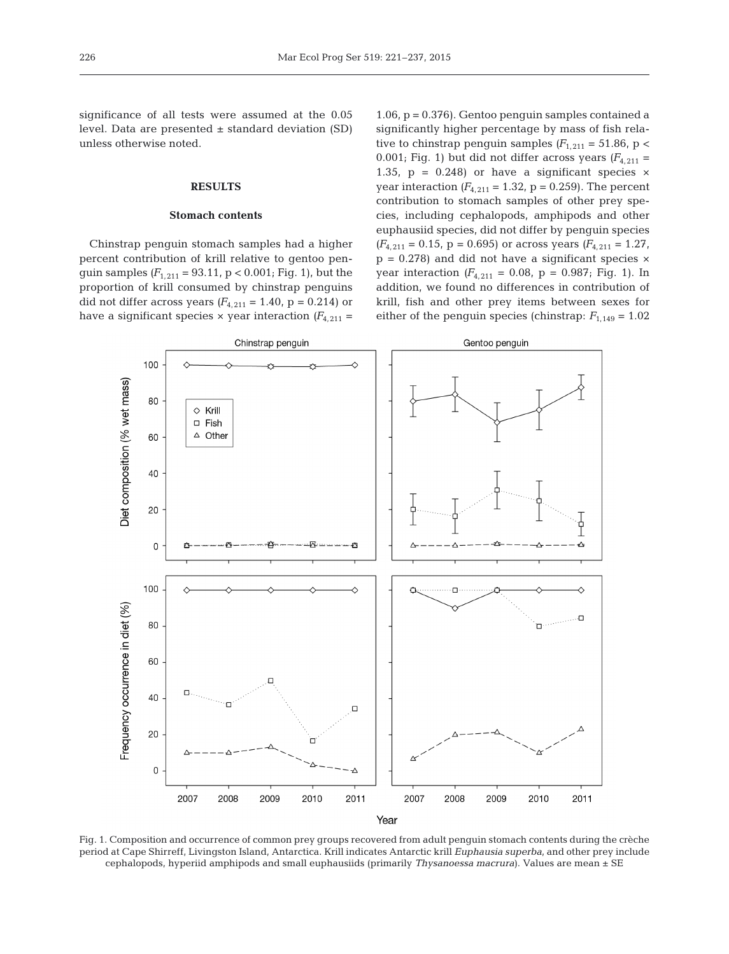significance of all tests were assumed at the 0.05 level. Data are presented  $\pm$  standard deviation (SD) unless otherwise noted.

#### **RESULTS**

#### **Stomach contents**

Chinstrap penguin stomach samples had a higher percent contribution of krill relative to gentoo penguin samples  $(F_{1,211} = 93.11, p < 0.001;$  Fig. 1), but the proportion of krill consumed by chinstrap penguins did not differ across years  $(F_{4,211} = 1.40, p = 0.214)$  or have a significant species  $\times$  year interaction  $(F_{4,211} =$  1.06, p = 0.376). Gentoo penguin samples contained a significantly higher percentage by mass of fish relative to chinstrap penguin samples  $(F_{1,211} = 51.86, p <$ 0.001; Fig. 1) but did not differ across years  $(F_{4,211} =$ 1.35,  $p = 0.248$ ) or have a significant species  $\times$ year interaction  $(F_{4,211} = 1.32, p = 0.259)$ . The percent contribution to stomach samples of other prey species, in cluding cephalopods, amphipods and other euphausiid species, did not differ by penguin species  $(F_{4,211} = 0.15, p = 0.695)$  or across years  $(F_{4,211} = 1.27, p = 0.695)$  $p = 0.278$ ) and did not have a significant species  $\times$ year interaction  $(F_{4,211} = 0.08, p = 0.987; Fig. 1)$ . In addition, we found no differences in contribution of krill, fish and other prey items between sexes for either of the penguin species (chinstrap:  $F_{1,149} = 1.02$ 



Fig. 1. Composition and occurrence of common prey groups recovered from adult penguin stomach contents during the crèche period at Cape Shirreff, Livingston Island, Antarctica. Krill indicates Antarctic krill *Euphausia superba*, and other prey include cephalopods, hyperiid amphipods and small euphausiids (primarily *Thysanoessa macrura*). Values are mean ± SE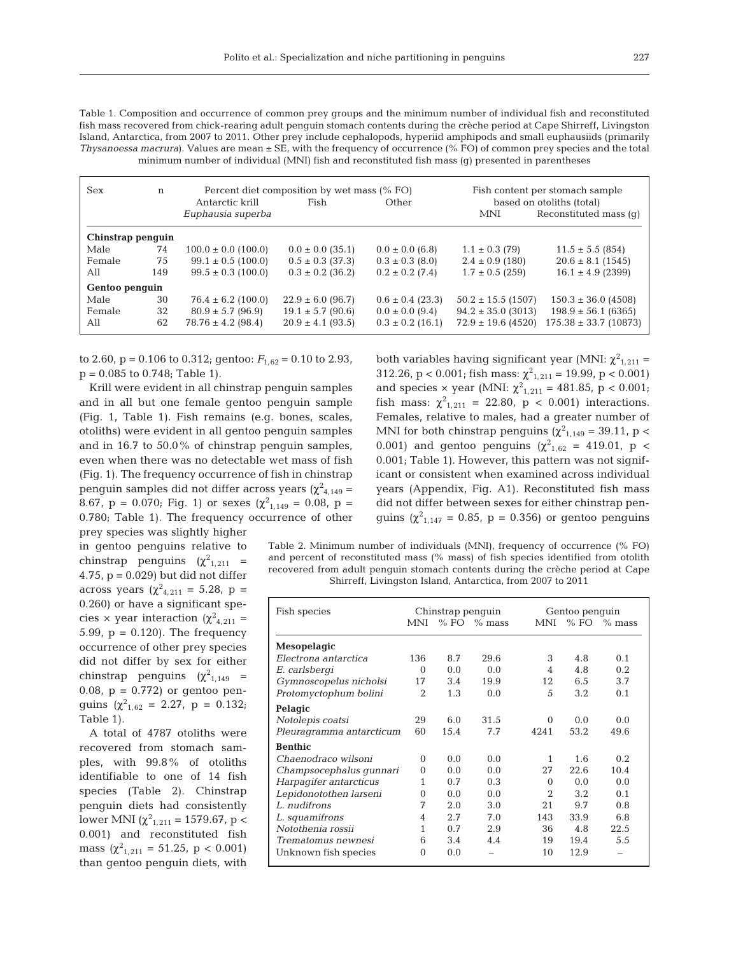Table 1. Composition and occurrence of common prey groups and the minimum number of individual fish and reconstituted fish mass recovered from chick-rearing adult penguin stomach contents during the crèche period at Cape Shirreff, Livingston Island, Antarctica, from 2007 to 2011. Other prey include cephalopods, hyperiid amphipods and small euphausiids (primarily *Thysanoessa macrura*). Values are mean  $\pm$  SE, with the frequency of occurrence (% FO) of common prey species and the total minimum number of individual (MNI) fish and reconstituted fish mass (g) presented in parentheses

| <b>Sex</b>        | n   |                         | Percent diet composition by wet mass (% FO) | Fish content per stomach sample |                        |                           |  |  |
|-------------------|-----|-------------------------|---------------------------------------------|---------------------------------|------------------------|---------------------------|--|--|
|                   |     | Antarctic krill         | Fish                                        | Other                           |                        | based on otoliths (total) |  |  |
|                   |     | Euphausia superba       |                                             |                                 | <b>MNI</b>             | Reconstituted mass (q)    |  |  |
| Chinstrap penguin |     |                         |                                             |                                 |                        |                           |  |  |
| Male              | 74  | $100.0 \pm 0.0$ (100.0) | $0.0 \pm 0.0$ (35.1)                        | $0.0 \pm 0.0$ (6.8)             | $1.1 \pm 0.3$ (79)     | $11.5 \pm 5.5$ (854)      |  |  |
| Female            | 75  | $99.1 \pm 0.5$ (100.0)  | $0.5 \pm 0.3$ (37.3)                        | $0.3 \pm 0.3$ (8.0)             | $2.4 \pm 0.9$ (180)    | $20.6 \pm 8.1$ (1545)     |  |  |
| All               | 149 | $99.5 \pm 0.3$ (100.0)  | $0.3 \pm 0.2$ (36.2)                        | $0.2 \pm 0.2$ (7.4)             | $1.7 \pm 0.5$ (259)    | $16.1 \pm 4.9$ (2399)     |  |  |
| Gentoo penguin    |     |                         |                                             |                                 |                        |                           |  |  |
| Male              | 30  | $76.4 \pm 6.2$ (100.0)  | $22.9 \pm 6.0$ (96.7)                       | $0.6 \pm 0.4$ (23.3)            | $50.2 \pm 15.5$ (1507) | $150.3 \pm 36.0$ (4508)   |  |  |
| Female            | 32  | $80.9 \pm 5.7$ (96.9)   | $19.1 \pm 5.7$ (90.6)                       | $0.0 \pm 0.0$ (9.4)             | $94.2 \pm 35.0$ (3013) | $198.9 \pm 56.1$ (6365)   |  |  |
| All               | 62  | $78.76 \pm 4.2$ (98.4)  | $20.9 \pm 4.1$ (93.5)                       | $0.3 \pm 0.2$ (16.1)            | $72.9 \pm 19.6$ (4520) | $175.38 \pm 33.7$ (10873) |  |  |

to 2.60,  $p = 0.106$  to 0.312; gentoo:  $F_{1,62} = 0.10$  to 2.93,  $p = 0.085$  to 0.748; Table 1).

Krill were evident in all chinstrap penguin samples and in all but one female gentoo penguin sample (Fig. 1, Table 1). Fish remains (e.g. bones, scales, otoliths) were evident in all gentoo penguin samples and in 16.7 to 50.0% of chinstrap penguin samples, even when there was no detectable wet mass of fish (Fig. 1). The frequency occurrence of fish in chinstrap penguin samples did not differ across years ( $\chi^2_{4,149}$  = 8.67,  $p = 0.070$ ; Fig. 1) or sexes  $(\chi^2_{1,149} = 0.08, p =$ 0.780; Table 1). The frequency occurrence of other prey species was slightly higher

in gentoo penguins relative to chinstrap penguins  $(\chi^2_{1,211}$  = 4.75,  $p = 0.029$ ) but did not differ across years ( $\chi^2_{4,211} = 5.28$ , p = 0.260) or have a significant species  $\times$  year interaction ( $\chi^2_{4,211}$  = 5.99,  $p = 0.120$ . The frequency occurrence of other prey species did not differ by sex for either chinstrap penguins  $(\chi^2_{1,149}$  = 0.08,  $p = 0.772$  or gentoo penguins  $(\chi^2_{1,62} = 2.27, p = 0.132)$ ; Table 1).

A total of 4787 otoliths were recovered from stomach samples, with 99.8% of otoliths identifiable to one of 14 fish species (Table 2). Chinstrap penguin diets had consistently lower MNI (χ<sup>2</sup><sub>1,211</sub> = 1579.67, p < 0.001) and reconstituted fish mass  $(\chi^2_{1,211} = 51.25, p < 0.001)$ than gentoo penguin diets, with

both variables having significant year (MNI:  $\chi^2_{1,211}$  = 312.26, p < 0.001; fish mass:  $\chi^2_{1,211} = 19.99$ , p < 0.001) and species  $\times$  year (MNI:  $\chi^2_{1,211} = 481.85$ , p < 0.001; fish mass:  $\chi^2_{1,211} = 22.80$ ,  $p < 0.001$ ) interactions. Females, relative to males, had a greater number of MNI for both chinstrap penguins ( $\chi^2_{1,149}$  = 39.11, p < 0.001) and gentoo penguins ( $\chi^2_{1,62} = 419.01$ , p < 0.001; Table 1). However, this pattern was not significant or consistent when examined across individual years (Appendix, Fig. A1). Reconstituted fish mass did not differ between sexes for either chinstrap penguins ( $\chi^2_{1,147} = 0.85$ , p = 0.356) or gentoo penguins

Table 2. Minimum number of individuals (MNI), frequency of occurrence (% FO) and percent of reconstituted mass (% mass) of fish species identified from otolith recovered from adult penguin stomach contents during the crèche period at Cape Shirreff, Livingston Island, Antarctica, from 2007 to 2011

| Fish species             | Chinstrap penguin |      |               | Gentoo penquin           |               |                 |
|--------------------------|-------------------|------|---------------|--------------------------|---------------|-----------------|
|                          | MNI               |      | $% FO$ % mass | MNI                      |               | $%$ FO $%$ mass |
| Mesopelagic              |                   |      |               |                          |               |                 |
| Electrona antarctica     | 136               | 8.7  | 29.6          | 3                        | 4.8           | 0.1             |
| E. carlsbergi            | $\Omega$          | 0.0  | 0.0           | $\overline{\mathcal{A}}$ | 4.8           | 0.2             |
| Gymnoscopelus nicholsi   | 17                | 3.4  | 19.9          | 12                       | 6.5           | 3.7             |
| Protomyctophum bolini    | 2                 | 1.3  | 0.0           | 5                        | 3.2           | 0.1             |
| Pelagic                  |                   |      |               |                          |               |                 |
| Notolepis coatsi         | 29                | 6.0  | 31.5          | $\Omega$                 | 0.0           | 0.0             |
| Pleuragramma antarcticum | 60                | 15.4 | 7.7           | 4241                     | 53.2          | 49.6            |
| <b>Benthic</b>           |                   |      |               |                          |               |                 |
| Chaenodraco wilsoni      | $\Omega$          | 0.0  | $0.0^{\circ}$ | 1                        | 1.6           | 0.2             |
| Champsocephalus qunnari  | $\Omega$          | 0.0  | 0.0           | 27                       | 22.6          | 10.4            |
| Harpagifer antarcticus   | 1                 | 0.7  | 0.3           | $\Omega$                 | $0.0^{\circ}$ | 0.0             |
| Lepidonotothen larseni   | $\Omega$          | 0.0  | 0.0           | $\mathfrak{D}$           | 3.2           | 0.1             |
| L. nudifrons             | 7                 | 2.0  | 3.0           | 21                       | 9.7           | 0.8             |
| L. squamifrons           | 4                 | 2.7  | 7.0           | 143                      | 33.9          | 6.8             |
| Notothenia rossii        | 1                 | 0.7  | 2.9           | 36                       | 4.8           | 22.5            |
| Trematomus newnesi       | 6                 | 3.4  | 4.4           | 19                       | 19.4          | 5.5             |
| Unknown fish species     | $\theta$          | 0.0  |               | 10                       | 12.9          |                 |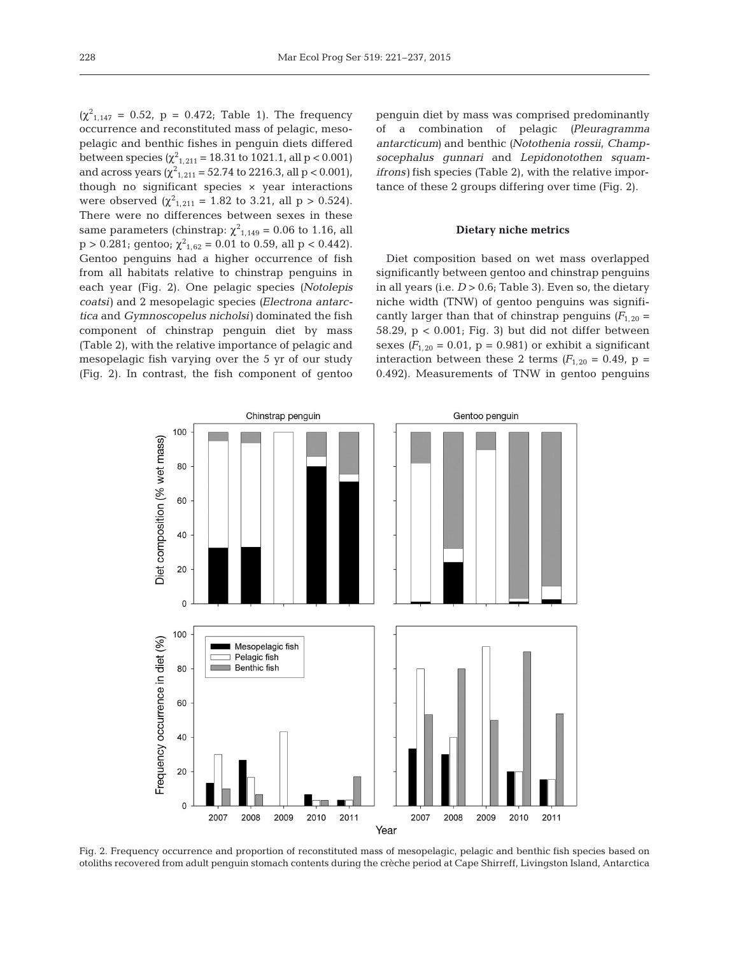$(\chi^2_{1,147} = 0.52, p = 0.472;$  Table 1). The frequency occurrence and reconstituted mass of pelagic, mesopelagic and benthic fishes in penguin diets differed between species  $(\chi^2_{1,211} = 18.31 \text{ to } 1021.1, \text{ all } p < 0.001)$ and across years ( $\chi^2_{1,211} = 52.74$  to 2216.3, all p < 0.001), though no significant species × year interactions were observed  $(\chi^2_{1,211} = 1.82 \text{ to } 3.21, \text{ all } p > 0.524).$ There were no differences between sexes in these same parameters (chinstrap:  $\chi^2_{1,149} = 0.06$  to 1.16, all  $p > 0.281$ ; gentoo;  $\chi^2_{1,62} = 0.01$  to 0.59, all  $p < 0.442$ ). Gentoo penguins had a higher occurrence of fish from all habitats relative to chinstrap penguins in each year (Fig. 2). One pelagic species *(Notolepis coatsi)* and 2 mesopelagic species *(Electrona antarctica* and *Gymnoscopelus nicholsi)* dominated the fish component of chinstrap penguin diet by mass (Table 2), with the relative importance of pelagic and mesopelagic fish varying over the 5 yr of our study (Fig. 2). In contrast, the fish component of gentoo penguin diet by mass was comprised predominantly of a combination of pelagic *(Pleuragramma antarcticum)* and benthic *(Notothenia rossii*, *Champsocephalus gunnari* and *Lepidonotothen squamifrons)* fish species (Table 2), with the relative importance of these 2 groups differing over time (Fig. 2).

## **Dietary niche metrics**

Diet composition based on wet mass overlapped significantly between gentoo and chinstrap penguins in all years (i.e.  $D > 0.6$ ; Table 3). Even so, the dietary niche width (TNW) of gentoo penguins was significantly larger than that of chinstrap penguins  $(F_{1,20} =$ 58.29,  $p < 0.001$ ; Fig. 3) but did not differ between sexes  $(F_{1,20} = 0.01, p = 0.981)$  or exhibit a significant interaction between these 2 terms  $(F_{1,20} = 0.49, p =$ 0.492). Measurements of TNW in gentoo penguins



Fig. 2. Frequency occurrence and proportion of reconstituted mass of mesopelagic, pelagic and benthic fish species based on otoliths recovered from adult penguin stomach contents during the crèche period at Cape Shirreff, Livingston Island, Antarctica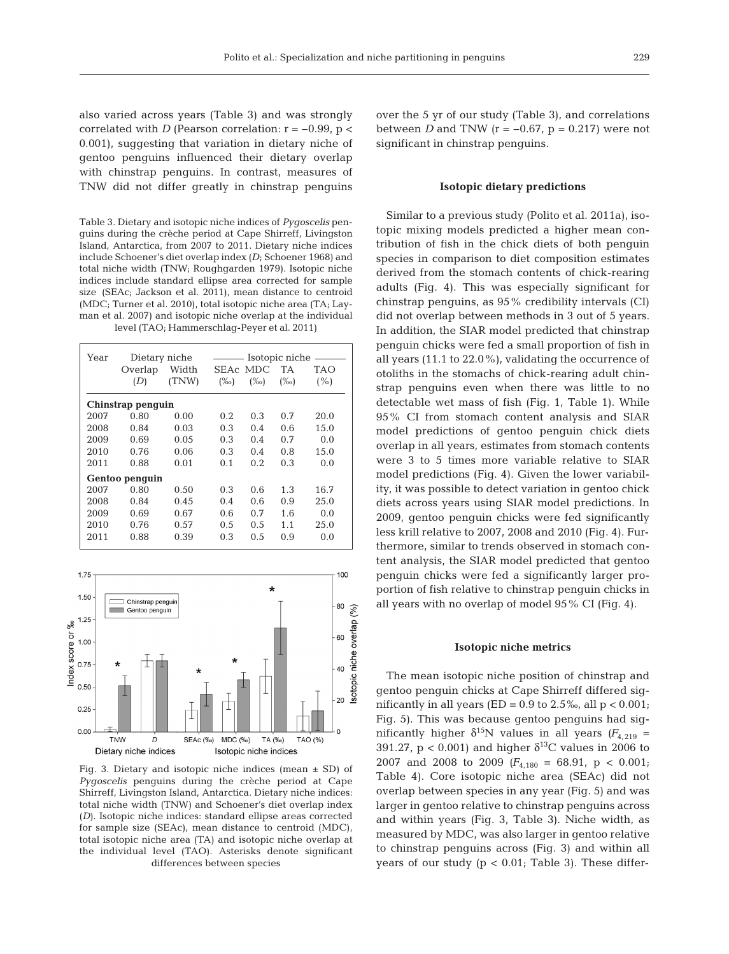also varied across years (Table 3) and was strongly correlated with *D* (Pearson correlation:  $r = -0.99$ ,  $p <$ 0.001), suggesting that variation in dietary niche of gentoo penguins influenced their dietary overlap with chinstrap penguins. In contrast, measures of TNW did not differ greatly in chinstrap penguins

Table 3. Dietary and isotopic niche indices of *Pygoscelis* penguins during the crèche period at Cape Shirreff, Livingston Island, Antarctica, from 2007 to 2011. Dietary niche indices include Schoener's diet overlap index *(D*; Schoener 1968) and total niche width (TNW; Roughgarden 1979). Isotopic niche indices include standard ellipse area corrected for sample size (SEAc; Jackson et al. 2011), mean distance to centroid (MDC; Turner et al. 2010), total isotopic niche area (TA; Layman et al. 2007) and isotopic niche overlap at the individual level (TAO; Hammerschlag-Peyer et al. 2011)

| Year           | Dietary niche     | Isotopic niche |          |            |         |      |  |  |
|----------------|-------------------|----------------|----------|------------|---------|------|--|--|
|                | Overlap           | Width          | SEAc MDC |            | TA      | TAO  |  |  |
|                | (D)               | (TNW)          | $(\%o)$  | $(\%circ)$ | $(\%o)$ | (% ) |  |  |
|                | Chinstrap penguin |                |          |            |         |      |  |  |
| 2007           | 0.80              | 0.00           | 0.2      | 0.3        | 0.7     | 20.0 |  |  |
| 2008           | 0.84              | 0.03           | 0.3      | 0.4        | 0.6     | 15.0 |  |  |
| 2009           | 0.69              | 0.05           | 0.3      | 0.4        | 0.7     | 0.0  |  |  |
| 2010           | 0.76              | 0.06           | 0.3      | 0.4        | 0.8     | 15.0 |  |  |
| 2011           | 0.88              | 0.01           | 0.1      | 0.2        | 0.3     | 0.0  |  |  |
| Gentoo penguin |                   |                |          |            |         |      |  |  |
| 2007           | 0.80              | 0.50           | 0.3      | 0.6        | 1.3     | 16.7 |  |  |
| 2008           | 0.84              | 0.45           | 0.4      | 0.6        | 0.9     | 25.0 |  |  |
| 2009           | 0.69              | 0.67           | 0.6      | 0.7        | 1.6     | 0.0  |  |  |
| 2010           | 0.76              | 0.57           | 0.5      | 0.5        | 1.1     | 25.0 |  |  |
| 2011           | 0.88              | 0.39           | 0.3      | 0.5        | 0.9     | 0.0  |  |  |



Fig. 3. Dietary and isotopic niche indices (mean  $\pm$  SD) of *Pygoscelis* penguins during the crèche period at Cape Shirreff, Livingston Island, Antarctica. Dietary niche indices: total niche width (TNW) and Schoener's diet overlap index (*D*). Isotopic niche indices: standard ellipse areas corrected for sample size (SEAc), mean distance to centroid (MDC), total isotopic niche area (TA) and isotopic niche overlap at the individual level (TAO). Asterisks denote significant differences between species

over the 5 yr of our study (Table 3), and correlations between *D* and TNW ( $r = -0.67$ ,  $p = 0.217$ ) were not significant in chinstrap penguins.

#### **Isotopic dietary predictions**

Similar to a previous study (Polito et al. 2011a), isotopic mixing models predicted a higher mean contribution of fish in the chick diets of both penguin species in comparison to diet composition estimates derived from the stomach contents of chick-rearing adults (Fig. 4). This was especially significant for chinstrap penguins, as 95% credibility intervals (CI) did not overlap between methods in 3 out of 5 years. In addition, the SIAR model predicted that chinstrap penguin chicks were fed a small proportion of fish in all years (11.1 to 22.0%), validating the occurrence of otoliths in the stomachs of chick-rearing adult chinstrap penguins even when there was little to no detectable wet mass of fish (Fig. 1, Table 1). While 95% CI from stomach content analysis and SIAR model predictions of gentoo penguin chick diets overlap in all years, estimates from stomach contents were 3 to 5 times more variable relative to SIAR model predictions (Fig. 4). Given the lower variability, it was possible to detect variation in gentoo chick diets across years using SIAR model predictions. In 2009, gentoo penguin chicks were fed significantly less krill relative to 2007, 2008 and 2010 (Fig. 4). Furthermore, similar to trends observed in stomach content analysis, the SIAR model predicted that gentoo penguin chicks were fed a significantly larger proportion of fish relative to chinstrap penguin chicks in all years with no overlap of model 95% CI (Fig. 4).

#### **Isotopic niche metrics**

The mean isotopic niche position of chinstrap and gentoo penguin chicks at Cape Shirreff differed significantly in all years (ED =  $0.9$  to  $2.5\%$ , all p <  $0.001$ ; Fig. 5). This was because gentoo penguins had significantly higher  $\delta^{15}N$  values in all years  $(F_{4,219} =$ 391.27,  $p < 0.001$  and higher  $\delta^{13}C$  values in 2006 to 2007 and 2008 to 2009  $(F_{4,180} = 68.91, p < 0.001;$ Table 4). Core isotopic niche area (SEAc) did not overlap between species in any year (Fig. 5) and was larger in gentoo relative to chinstrap penguins across and within years (Fig. 3, Table 3). Niche width, as measured by MDC, was also larger in gentoo relative to chinstrap penguins across (Fig. 3) and within all years of our study ( $p < 0.01$ ; Table 3). These differ-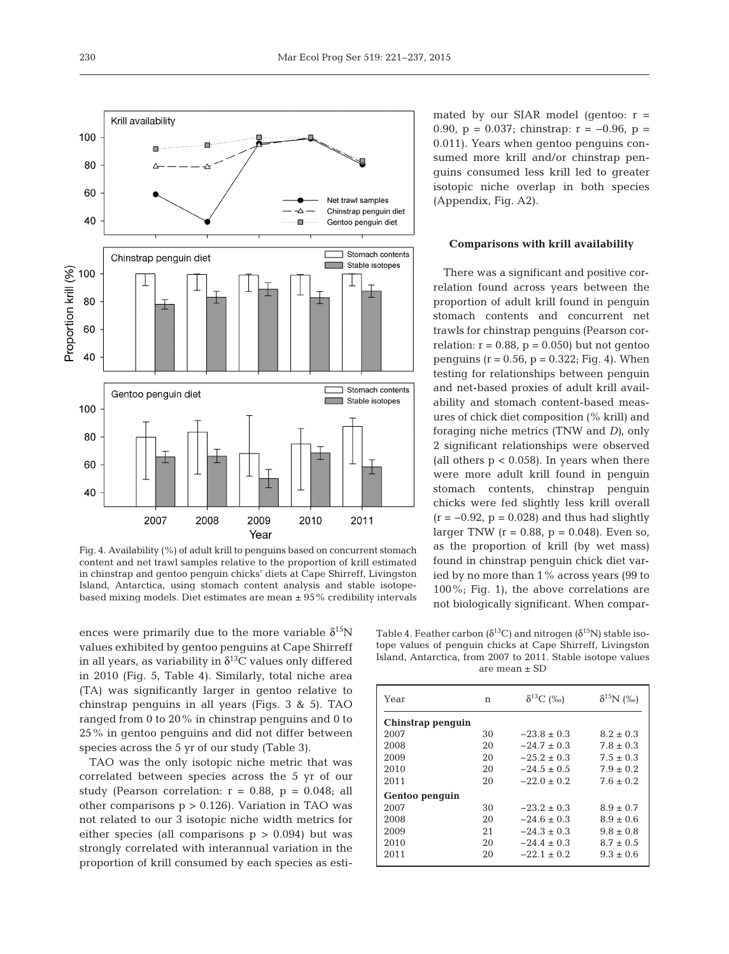

Fig. 4. Availability (%) of adult krill to penguins based on concurrent stomach content and net trawl samples relative to the proportion of krill estimated in chinstrap and gentoo penguin chicks' diets at Cape Shirreff, Livingston Island, Antarctica, using stomach content analysis and stable isotopebased mixing models. Diet estimates are mean  $\pm$  95% credibility intervals

ences were primarily due to the more variable  $\delta^{15}N$ values exhibited by gentoo penguins at Cape Shirreff in all years, as variability in  $\delta^{13}$ C values only differed in 2010 (Fig. 5, Table 4). Similarly, total niche area (TA) was significantly larger in gentoo relative to chinstrap penguins in all years (Figs. 3 & 5). TAO ranged from 0 to 20% in chinstrap penguins and 0 to 25% in gentoo penguins and did not differ between species across the 5 yr of our study (Table 3).

TAO was the only isotopic niche metric that was correlated between species across the 5 yr of our study (Pearson correlation:  $r = 0.88$ ,  $p = 0.048$ ; all other comparisons  $p > 0.126$ ). Variation in TAO was not related to our 3 isotopic niche width metrics for either species (all comparisons  $p > 0.094$ ) but was strongly correlated with interannual variation in the proportion of krill consumed by each species as estimated by our SIAR model (gentoo:  $r =$ 0.90,  $p = 0.037$ ; chinstrap:  $r = -0.96$ ,  $p =$ 0.011). Years when gentoo penguins consumed more krill and/or chinstrap penguins consumed less krill led to greater isotopic niche overlap in both species (Appendix, Fig. A2).

## **Comparisons with krill availability**

There was a significant and positive correlation found across years between the proportion of adult krill found in penguin stomach contents and concurrent net trawls for chinstrap penguins (Pearson correlation:  $r = 0.88$ ,  $p = 0.050$ ) but not gentoo penguins ( $r = 0.56$ ,  $p = 0.322$ ; Fig. 4). When testing for relationships between penguin and net-based proxies of adult krill availability and stomach content-based measures of chick diet composition (% krill) and foraging niche metrics (TNW and *D)*, only 2 significant relationships were observed (all others  $p < 0.058$ ). In years when there were more adult krill found in penguin stomach contents, chinstrap penguin chicks were fed slightly less krill overall  $(r = -0.92, p = 0.028)$  and thus had slightly larger TNW  $(r = 0.88, p = 0.048)$ . Even so, as the proportion of krill (by wet mass) found in chinstrap penguin chick diet varied by no more than 1% across years (99 to 100%; Fig. 1), the above correlations are not biologically significant. When compar-

Table 4. Feather carbon ( $\delta^{13}$ C) and nitrogen ( $\delta^{15}$ N) stable isotope values of penguin chicks at Cape Shirreff, Livingston Island, Antarctica, from 2007 to 2011. Stable isotope values are mean ± SD

| Year              | n  | $\delta^{13}C$ (%) | $\delta^{15}N$ (‰) |  |  |  |  |  |
|-------------------|----|--------------------|--------------------|--|--|--|--|--|
| Chinstrap penguin |    |                    |                    |  |  |  |  |  |
| 2007              | 30 | $-23.8 + 0.3$      | $8.2 + 0.3$        |  |  |  |  |  |
| 2008              | 20 | $-24.7 \pm 0.3$    | $7.8 \pm 0.3$      |  |  |  |  |  |
| 2009              | 20 | $-25.2 \pm 0.3$    | $7.5 + 0.3$        |  |  |  |  |  |
| 2010              | 20 | $-24.5 + 0.5$      | $7.9 + 0.2$        |  |  |  |  |  |
| 2011              | 20 | $-22.0 + 0.2$      | $7.6 + 0.2$        |  |  |  |  |  |
| Gentoo penguin    |    |                    |                    |  |  |  |  |  |
| 2007              | 30 | $-23.2 + 0.3$      | $8.9 \pm 0.7$      |  |  |  |  |  |
| 2008              | 20 | $-24.6 + 0.3$      | $8.9 \pm 0.6$      |  |  |  |  |  |
| 2009              | 21 | $-24.3 + 0.3$      | $9.8 \pm 0.8$      |  |  |  |  |  |
| 2010              | 20 | $-24.4 + 0.3$      | $8.7 + 0.5$        |  |  |  |  |  |
| 2011              | 20 | $-22.1 \pm 0.2$    | $9.3 \pm 0.6$      |  |  |  |  |  |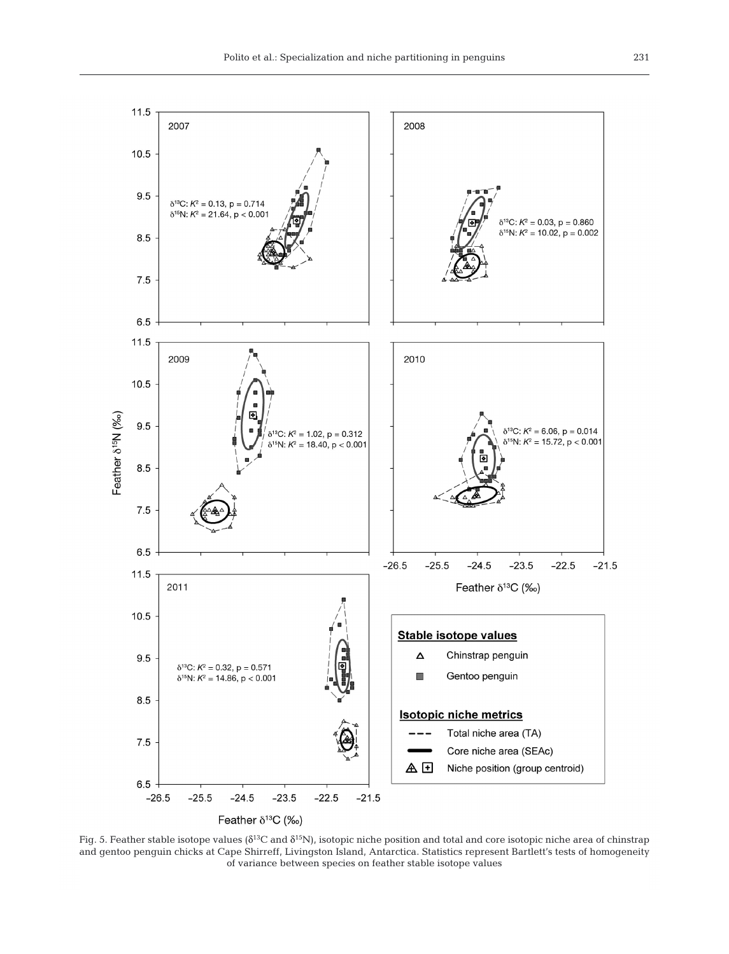

Fig. 5. Feather stable isotope values ( $\delta^{13}C$  and  $\delta^{15}N$ ), isotopic niche position and total and core isotopic niche area of chinstrap and gentoo penguin chicks at Cape Shirreff, Livingston Island, Antarctica. Statistics represent Bartlett's tests of homogeneity of variance between species on feather stable isotope values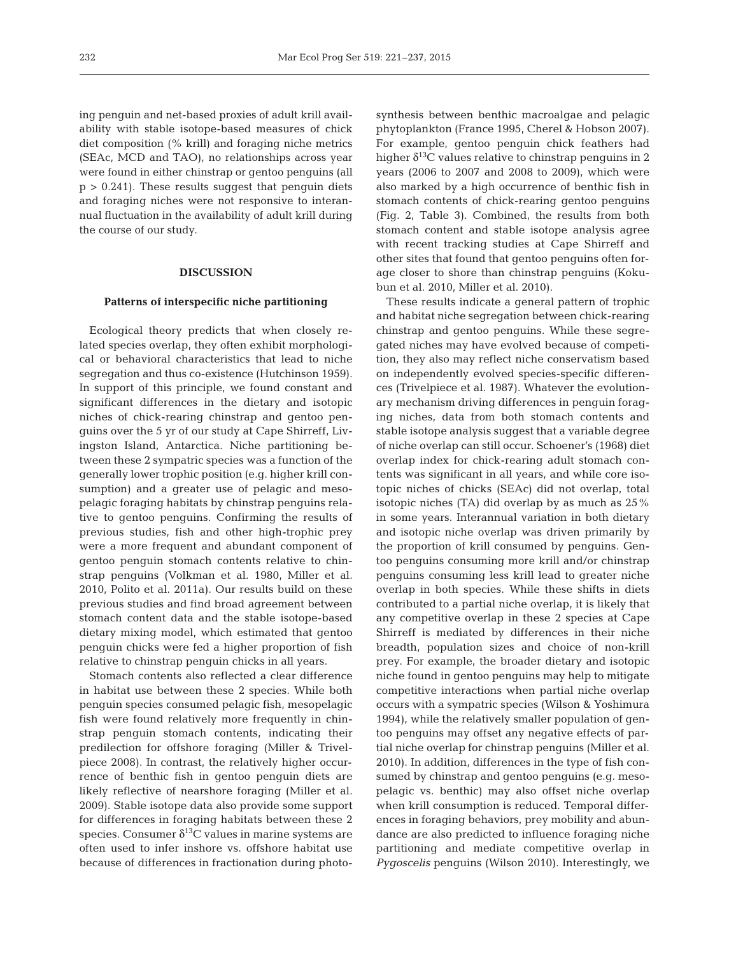ing penguin and net-based proxies of adult krill availability with stable isotope-based measures of chick diet composition (% krill) and foraging niche metrics (SEAc, MCD and TAO), no relationships across year were found in either chinstrap or gentoo penguins (all  $p > 0.241$ . These results suggest that penguin diets and foraging niches were not responsive to interannual fluctuation in the availability of adult krill during the course of our study.

## **DISCUSSION**

#### **Patterns of interspecific niche partitioning**

Ecological theory predicts that when closely related species overlap, they often exhibit morphological or behavioral characteristics that lead to niche segregation and thus co-existence (Hutchinson 1959). In support of this principle, we found constant and significant differences in the dietary and isotopic niches of chick-rearing chinstrap and gentoo penguins over the 5 yr of our study at Cape Shirreff, Livingston Island, Antarctica. Niche partitioning be tween these 2 sympatric species was a function of the generally lower trophic position (e.g. higher krill consumption) and a greater use of pelagic and mesopelagic foraging habitats by chinstrap penguins relative to gentoo penguins. Confirming the results of previous studies, fish and other high-trophic prey were a more frequent and abundant component of gentoo penguin stomach contents relative to chinstrap penguins (Volkman et al. 1980, Miller et al. 2010, Polito et al. 2011a). Our results build on these previous studies and find broad agreement between stomach content data and the stable isotope-based dietary mixing model, which estimated that gentoo penguin chicks were fed a higher proportion of fish relative to chinstrap penguin chicks in all years.

Stomach contents also reflected a clear difference in habitat use between these 2 species. While both penguin species consumed pelagic fish, mesopelagic fish were found relatively more frequently in chinstrap penguin stomach contents, indicating their predilection for offshore foraging (Miller & Trivelpiece 2008). In contrast, the relatively higher occurrence of benthic fish in gentoo penguin diets are likely reflective of nearshore foraging (Miller et al. 2009). Stable isotope data also provide some support for differences in foraging habitats between these 2 species. Consumer  $\delta^{13}$ C values in marine systems are often used to infer inshore vs. offshore habitat use because of differences in fractionation during photosynthesis between benthic macroalgae and pelagic phytoplankton (France 1995, Cherel & Hobson 2007). For example, gentoo penguin chick feathers had higher  $\delta^{13}$ C values relative to chinstrap penguins in 2 years (2006 to 2007 and 2008 to 2009), which were also marked by a high occurrence of benthic fish in stomach contents of chick-rearing gentoo penguins (Fig. 2, Table 3). Combined, the results from both stomach content and stable isotope analysis agree with recent tracking studies at Cape Shirreff and other sites that found that gentoo penguins often forage closer to shore than chinstrap penguins (Koku bun et al. 2010, Miller et al. 2010).

These results indicate a general pattern of trophic and habitat niche segregation between chick-rearing chinstrap and gentoo penguins. While these segregated niches may have evolved because of competition, they also may reflect niche conservatism based on independently evolved species-specific differences (Trivelpiece et al. 1987). Whatever the evolutionary mechanism driving differences in penguin foraging niches, data from both stomach contents and stable isotope analysis suggest that a variable degree of niche overlap can still occur. Schoener's (1968) diet overlap index for chick-rearing adult stomach contents was significant in all years, and while core isotopic niches of chicks (SEAc) did not overlap, total isotopic niches (TA) did overlap by as much as 25% in some years. Interannual variation in both dietary and isotopic niche overlap was driven primarily by the proportion of krill consumed by penguins. Gentoo penguins consuming more krill and/or chinstrap penguins consuming less krill lead to greater niche overlap in both species. While these shifts in diets contributed to a partial niche overlap, it is likely that any competitive overlap in these 2 species at Cape Shirreff is mediated by differences in their niche breadth, population sizes and choice of non-krill prey. For example, the broader dietary and isotopic niche found in gentoo penguins may help to mitigate competitive interactions when partial niche overlap occurs with a sympatric species (Wilson & Yoshimura 1994), while the relatively smaller population of gentoo penguins may offset any negative effects of partial niche overlap for chinstrap penguins (Miller et al. 2010). In addition, differences in the type of fish consumed by chinstrap and gentoo penguins (e.g. mesopelagic vs. benthic) may also offset niche overlap when krill consumption is reduced. Temporal differences in foraging behaviors, prey mobility and abundance are also predicted to influence foraging niche partitioning and mediate competitive overlap in *Pygoscelis* penguins (Wilson 2010). Interestingly, we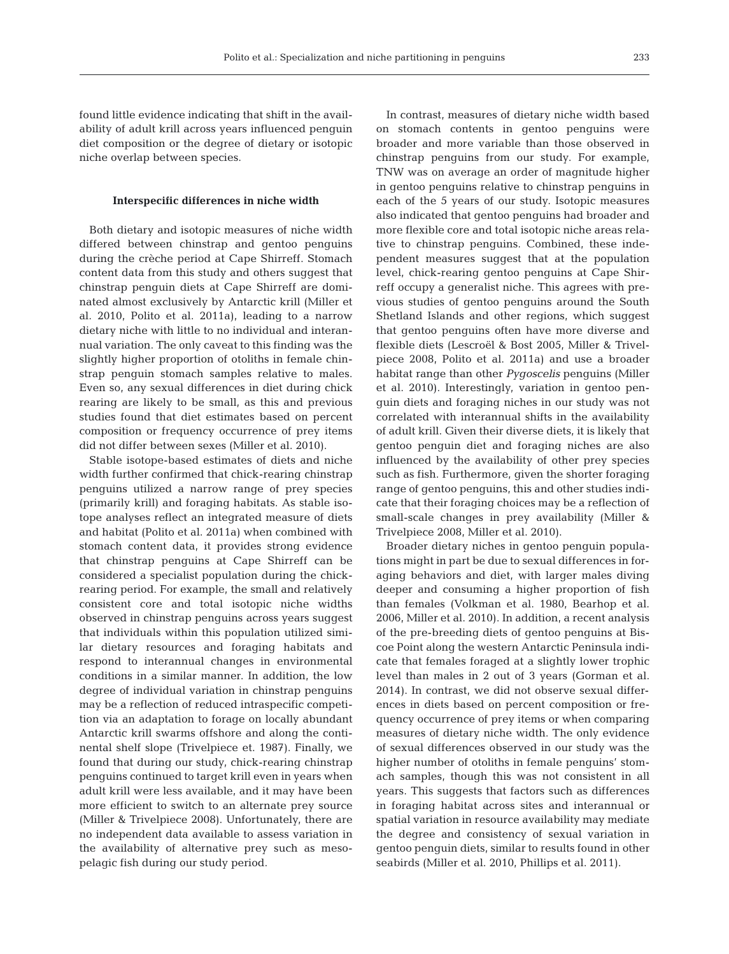found little evidence indicating that shift in the availability of adult krill across years influenced penguin diet composition or the degree of dietary or isotopic niche overlap between species.

#### **Interspecific differences in niche width**

Both dietary and isotopic measures of niche width differed between chinstrap and gentoo penguins during the crèche period at Cape Shirreff. Stomach content data from this study and others suggest that chinstrap penguin diets at Cape Shirreff are dominated almost exclusively by Antarctic krill (Miller et al. 2010, Polito et al. 2011a), leading to a narrow dietary niche with little to no individual and interannual variation. The only caveat to this finding was the slightly higher proportion of otoliths in female chinstrap penguin stomach samples relative to males. Even so, any sexual differences in diet during chick rearing are likely to be small, as this and previous studies found that diet estimates based on percent composition or frequency occurrence of prey items did not differ between sexes (Miller et al. 2010).

Stable isotope-based estimates of diets and niche width further confirmed that chick-rearing chinstrap penguins utilized a narrow range of prey species (primarily krill) and foraging habitats. As stable isotope analyses reflect an integrated measure of diets and habitat (Polito et al. 2011a) when combined with stomach content data, it provides strong evidence that chinstrap penguins at Cape Shirreff can be considered a specialist population during the chickrearing period. For example, the small and relatively consistent core and total isotopic niche widths observed in chinstrap penguins across years suggest that individuals within this population utilized similar dietary resources and foraging habitats and respond to interannual changes in environmental conditions in a similar manner. In addition, the low degree of individual variation in chinstrap penguins may be a reflection of reduced intraspecific competition via an adaptation to forage on locally abundant Antarctic krill swarms offshore and along the continental shelf slope (Trivelpiece et. 1987). Finally, we found that during our study, chick-rearing chinstrap penguins continued to target krill even in years when adult krill were less available, and it may have been more efficient to switch to an alternate prey source (Miller & Trivelpiece 2008). Unfortunately, there are no independent data available to assess variation in the availability of alternative prey such as mesopelagic fish during our study period.

In contrast, measures of dietary niche width based on stomach contents in gentoo penguins were broader and more variable than those observed in chinstrap penguins from our study. For example, TNW was on average an order of magnitude higher in gentoo penguins relative to chinstrap penguins in each of the 5 years of our study. Isotopic measures also indicated that gentoo penguins had broader and more flexible core and total isotopic niche areas relative to chinstrap penguins. Combined, these independent measures suggest that at the population level, chick-rearing gentoo penguins at Cape Shir reff occupy a generalist niche. This agrees with previous studies of gentoo penguins around the South Shetland Islands and other regions, which suggest that gentoo penguins often have more diverse and flexible diets (Lescroël & Bost 2005, Miller & Trivelpiece 2008, Polito et al. 2011a) and use a broader habitat range than other *Pygoscelis* penguins (Miller et al. 2010). Interestingly, variation in gentoo penguin diets and foraging niches in our study was not correlated with interannual shifts in the availability of adult krill. Given their diverse diets, it is likely that gentoo penguin diet and foraging niches are also influenced by the availability of other prey species such as fish. Furthermore, given the shorter foraging range of gentoo penguins, this and other studies indicate that their foraging choices may be a reflection of small-scale changes in prey availability (Miller & Trivelpiece 2008, Miller et al. 2010).

Broader dietary niches in gentoo penguin populations might in part be due to sexual differences in foraging behaviors and diet, with larger males diving deeper and consuming a higher proportion of fish than females (Volkman et al. 1980, Bearhop et al. 2006, Miller et al. 2010). In addition, a recent analysis of the pre-breeding diets of gentoo penguins at Biscoe Point along the western Antarctic Peninsula indicate that females foraged at a slightly lower trophic level than males in 2 out of 3 years (Gorman et al. 2014). In contrast, we did not observe sexual differences in diets based on percent composition or frequency occurrence of prey items or when comparing measures of dietary niche width. The only evidence of sexual differences ob served in our study was the higher number of otoliths in female penguins' stomach samples, though this was not consistent in all years. This suggests that factors such as differences in foraging habitat across sites and interannual or spatial variation in resource availability may mediate the degree and consistency of sexual variation in gentoo penguin diets, similar to results found in other seabirds (Miller et al. 2010, Phillips et al. 2011).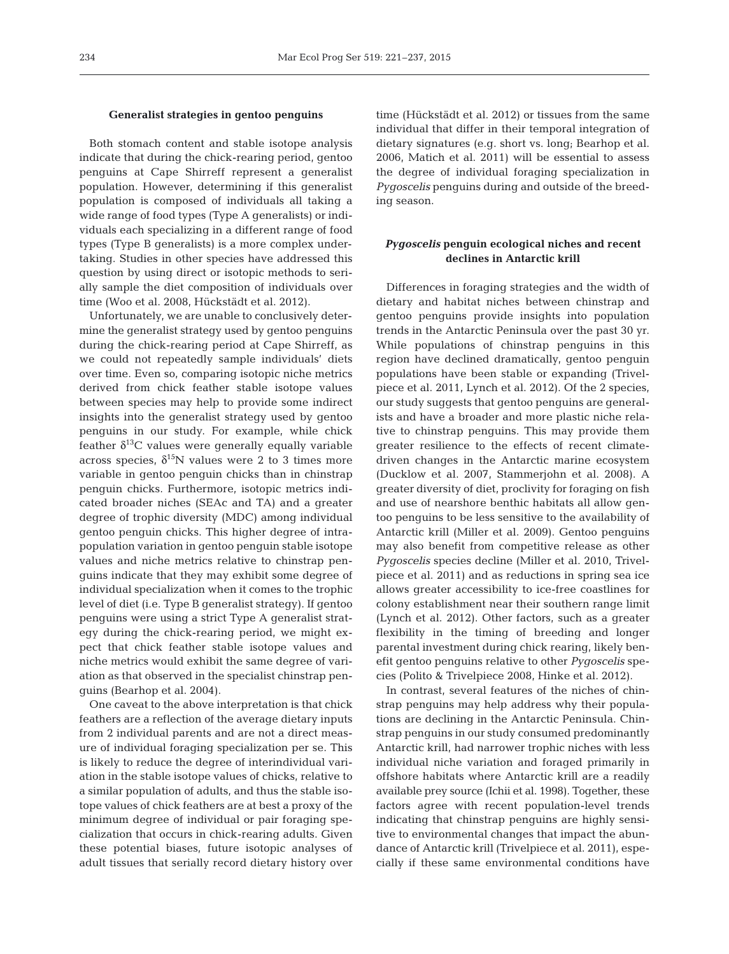#### **Generalist strategies in gentoo penguins**

Both stomach content and stable isotope analysis indicate that during the chick-rearing period, gentoo penguins at Cape Shirreff represent a generalist population. However, determining if this generalist population is composed of individuals all taking a wide range of food types (Type A generalists) or individuals each specializing in a different range of food types (Type B generalists) is a more complex undertaking. Studies in other species have addressed this question by using direct or isotopic methods to serially sample the diet composition of individuals over time (Woo et al. 2008, Hückstädt et al. 2012).

Unfortunately, we are unable to conclusively determine the generalist strategy used by gentoo penguins during the chick-rearing period at Cape Shirreff, as we could not repeatedly sample individuals' diets over time. Even so, comparing isotopic niche metrics derived from chick feather stable isotope values between species may help to provide some indirect insights into the generalist strategy used by gentoo penguins in our study. For example, while chick feather  $\delta^{13}$ C values were generally equally variable across species,  $\delta^{15}$ N values were 2 to 3 times more variable in gentoo penguin chicks than in chinstrap penguin chicks. Furthermore, isotopic metrics indicated broader niches (SEAc and TA) and a greater degree of trophic diversity (MDC) among individual gentoo penguin chicks. This higher degree of intrapopulation variation in gentoo penguin stable isotope values and niche metrics relative to chinstrap penguins indicate that they may exhibit some degree of individual specialization when it comes to the trophic level of diet (i.e. Type B generalist strategy). If gentoo penguins were using a strict Type A generalist strategy during the chick-rearing period, we might expect that chick feather stable isotope values and niche metrics would exhibit the same degree of variation as that observed in the specialist chinstrap penguins (Bearhop et al. 2004).

One caveat to the above interpretation is that chick feathers are a reflection of the average dietary inputs from 2 individual parents and are not a direct measure of individual foraging specialization per se. This is likely to reduce the degree of interindividual variation in the stable isotope values of chicks, relative to a similar population of adults, and thus the stable isotope values of chick feathers are at best a proxy of the minimum degree of individual or pair foraging specialization that occurs in chick-rearing adults. Given these potential biases, future isotopic analyses of adult tissues that serially record dietary history over time (Hückstädt et al. 2012) or tissues from the same individual that differ in their temporal integration of dietary signatures (e.g. short vs. long; Bearhop et al. 2006, Matich et al. 2011) will be essential to assess the degree of individual foraging specialization in *Pygoscelis* penguins during and outside of the breeding season.

# *Pygoscelis* **penguin ecological niches and recent declines in Antarctic krill**

Differences in foraging strategies and the width of dietary and habitat niches between chinstrap and gentoo penguins provide insights into population trends in the Antarctic Peninsula over the past 30 yr. While populations of chinstrap penguins in this region have declined dramatically, gentoo penguin populations have been stable or expanding (Trivelpiece et al. 2011, Lynch et al. 2012). Of the 2 species, our study suggests that gentoo penguins are generalists and have a broader and more plastic niche relative to chinstrap penguins. This may provide them greater resilience to the effects of recent climatedriven changes in the Antarctic marine ecosystem (Ducklow et al. 2007, Stammerjohn et al. 2008). A greater diversity of diet, proclivity for foraging on fish and use of nearshore benthic habitats all allow gentoo penguins to be less sensitive to the availability of Antarctic krill (Miller et al. 2009). Gentoo penguins may also benefit from competitive release as other *Pygoscelis* species decline (Miller et al. 2010, Trivelpiece et al. 2011) and as reductions in spring sea ice allows greater accessibility to ice-free coastlines for colony establishment near their southern range limit (Lynch et al. 2012). Other factors, such as a greater flexibility in the timing of breeding and longer parental investment during chick rearing, likely benefit gentoo penguins relative to other *Pygoscelis* species (Polito & Trivelpiece 2008, Hinke et al. 2012).

In contrast, several features of the niches of chinstrap penguins may help address why their populations are declining in the Antarctic Peninsula. Chinstrap penguins in our study consumed predominantly Antarctic krill, had narrower trophic niches with less individual niche variation and foraged primarily in offshore habitats where Antarctic krill are a readily available prey source (Ichii et al. 1998). Together, these factors agree with recent population-level trends indicating that chinstrap penguins are highly sensitive to environmental changes that impact the abundance of Antarctic krill (Trivelpiece et al. 2011), especially if these same environmental conditions have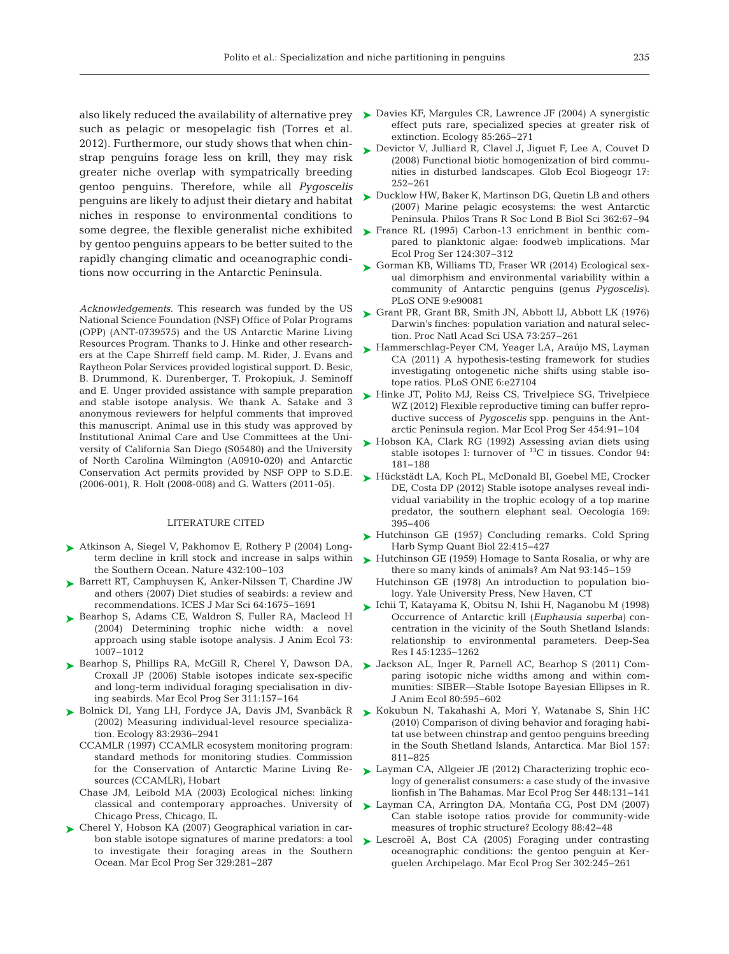such as pelagic or mesopelagic fish (Torres et al. 2012). Furthermore, our study shows that when chinstrap penguins forage less on krill, they may risk greater niche overlap with sympatrically breeding gentoo penguins. Therefore, while all *Pygoscelis* penguins are likely to adjust their dietary and habitat niches in response to environmental conditions to some degree, the flexible generalist niche exhibited by gentoo penguins appears to be better suited to the rapidly changing climatic and oceanographic conditions now occurring in the Antarctic Peninsula.

*Acknowledgements*. This research was funded by the US National Science Foundation (NSF) Office of Polar Programs (OPP) (ANT-0739575) and the US Antarctic Marine Living Resources Program. Thanks to J. Hinke and other researchers at the Cape Shirreff field camp. M. Rider, J. Evans and Raytheon Polar Services provided logistical support. D. Besic, B. Drummond, K. Durenberger, T. Prokopiuk, J. Seminoff and E. Unger provided assistance with sample preparation and stable isotope analysis. We thank A. Satake and 3 anonymous reviewers for helpful comments that improved this manuscript. Animal use in this study was approved by Institutional Animal Care and Use Committees at the University of California San Diego (S05480) and the University of North Carolina Wilmington (A0910-020) and Antarctic Conservation Act permits provided by NSF OPP to S.D.E. (2006-001), R. Holt (2008-008) and G. Watters (2011-05).

#### LITERATURE CITED

- ► [Atkinson A, Siegel V, Pakhomov E, Rothery P \(2004\) Long](http://dx.doi.org/10.1038/nature02996)term decline in krill stock and increase in salps within the Southern Ocean. Nature 432: 100−103
- ▶ [Barrett RT, Camphuysen K, Anker-Nilssen T, Chardine JW](http://dx.doi.org/10.1093/icesjms/fsm152) and others (2007) Diet studies of seabirds: a review and recommendations. ICES J Mar Sci 64: 1675−1691
- ▶ [Bearhop S, Adams CE, Waldron S, Fuller RA, Macleod H](http://dx.doi.org/10.1111/j.0021-8790.2004.00861.x) (2004) Determining trophic niche width:a novel approach using stable isotope analysis. J Anim Ecol 73: 1007−1012
- ▶ [Bearhop S, Phillips RA, McGill R, Cherel Y, Dawson DA,](http://dx.doi.org/10.3354/meps311157) Croxall JP (2006) Stable isotopes indicate sex-specific and long-term individual foraging specialisation in diving seabirds. Mar Ecol Prog Ser 311: 157−164
- ▶ [Bolnick DI, Yang LH, Fordyce JA, Davis JM, Svanbäck R](http://dx.doi.org/10.1890/0012-9658(2002)083[2936%3AMILRS]2.0.CO%3B2) (2002) Measuring individual-level resource specialization. Ecology 83:2936-2941
	- CCAMLR (1997) CCAMLR ecosystem monitoring program: standard methods for monitoring studies. Commission for the Conservation of Antarctic Marine Living Re sources (CCAMLR), Hobart
	- Chase JM, Leibold MA (2003) Ecological niches: linking classical and contemporary approaches. University of Chicago Press, Chicago, IL
- ► [Cherel Y, Hobson KA \(2007\) Geographical variation in car](http://dx.doi.org/10.3354/meps329281)bon stable isotope signatures of marine predators: a tool to investigate their foraging areas in the Southern Ocean. Mar Ecol Prog Ser 329:281-287
- also likely reduced the availability of alternative prey [Davies KF, Margules CR, Lawrence JF \(2004\) A synergistic](http://dx.doi.org/10.1890/03-0110) ➤ effect puts rare, specialized species at greater risk of extinction. Ecology 85:265-271
	- ► [Devictor V, Julliard R, Clavel J, Jiguet F, Lee A, Couvet D](http://dx.doi.org/10.1073/pnas.0801962105) (2008) Functional biotic homogenization of bird communities in disturbed landscapes. Glob Ecol Biogeogr 17: 252−261
	- ► [Ducklow HW, Baker K, Martinson DG, Quetin LB and others](http://dx.doi.org/10.1098/rstb.2006.1955)  $(2007)$  Marine pelagic ecosystems: the west Antarctic Peninsula. Philos Trans R Soc Lond B Biol Sci 362:67-94
	- ▶ [France RL \(1995\) Carbon-13 enrichment in benthic com](http://dx.doi.org/10.3354/meps124307)pared to planktonic algae: foodweb implications. Mar Ecol Prog Ser 124: 307−312
	- [Gorman KB, Williams TD, Fraser WR \(2014\) Ecological sex-](http://dx.doi.org/10.1371/journal.pone.0090081)➤ ual dimorphism and environmental variability within a community of Antarctic penguins (genus *Pygoscelis)*. PLoS ONE 9:e90081
	- ► [Grant PR, Grant BR, Smith JN, Abbott IJ, Abbott LK \(1976\)](http://dx.doi.org/10.1073/pnas.73.1.257) Darwin's finches: population variation and natural selection. Proc Natl Acad Sci USA 73:257-261
	- [Hammerschlag-Peyer CM, Yeager LA, Araújo MS, Layman](http://dx.doi.org/10.1371/journal.pone.0027104) ➤ CA (2011) A hypothesis-testing framework for studies investigating ontogenetic niche shifts using stable isotope ratios. PLoS ONE 6:e27104
	- ► [Hinke JT, Polito MJ, Reiss CS, Trivelpiece SG, Trivelpiece](http://dx.doi.org/10.3354/meps09633) WZ (2012) Flexible reproductive timing can buffer reproductive success of *Pygoscelis* spp. penguins in the Antarctic Peninsula region. Mar Ecol Prog Ser 454: 91−104
	- ► [Hobson KA, Clark RG \(1992\) Assessing avian diets using](http://dx.doi.org/10.2307/1368807) stable isotopes I: turnover of  $^{13}C$  in tissues. Condor 94: 181−188
	- ► [Hückstädt LA, Koch PL, McDonald BI, Goebel ME, Crocker](http://dx.doi.org/10.1007/s00442-011-2202-y) DE, Costa DP (2012) Stable isotope analyses reveal individual variability in the trophic ecology of a top marine predator, the southern elephant seal. Oecologia 169: 395−406
	- ▶ [Hutchinson GE \(1957\) Concluding remarks. Cold Spring](http://dx.doi.org/10.1101/SQB.1957.022.01.039) Harb Symp Quant Biol 22:415-427
	- ► [Hutchinson GE \(1959\) Homage to Santa Rosalia, or why are](http://dx.doi.org/10.1086/282070) there so many kinds of animals? Am Nat 93: 145−159
		- Hutchinson GE (1978) An introduction to population biology. Yale University Press, New Haven, CT
	- [Ichii T, Katayama K, Obitsu N, Ishii H, Naganobu M \(1998\)](http://dx.doi.org/10.1016/S0967-0637(98)00011-9) ➤ Occurrence of Antarctic krill (*Euphausia superba)* concentration in the vicinity of the South Shetland Islands: relationship to environmental parameters. Deep-Sea Res I 45: 1235−1262
	- ▶ Jackson AL, Inger R, Parnell AC, Bearhop S (2011) Comparing isotopic niche widths among and within communities: SIBER—Stable Isotope Bayesian Ellipses in R. J Anim Ecol 80: 595−602
	- ► [Kokubun N, Takahashi A, Mori Y, Watanabe S, Shin HC](http://dx.doi.org/10.1007/s00227-009-1364-1) (2010) Comparison of diving behavior and foraging habitat use between chinstrap and gentoo penguins breeding in the South Shetland Islands, Antarctica. Mar Biol 157: 811−825
	- ► Layman CA, Allgeier JE (2012) Characterizing trophic ecology of generalist consumers: a case study of the invasive lionfish in The Bahamas. Mar Ecol Prog Ser 448: 131−141
	- ► [Layman CA, Arrington DA, Montaña CG, Post DM \(2007\)](http://dx.doi.org/10.1890/0012-9658(2007)88[42%3ACSIRPF]2.0.CO%3B2) Can stable isotope ratios provide for community-wide measures of trophic structure? Ecology 88:42-48
	- ▶ [Lescroël A, Bost CA \(2005\) Foraging under contrasting](http://dx.doi.org/10.3354/meps302245) oceanographic conditions: the gentoo penguin at Kerguelen Archipelago. Mar Ecol Prog Ser 302: 245−261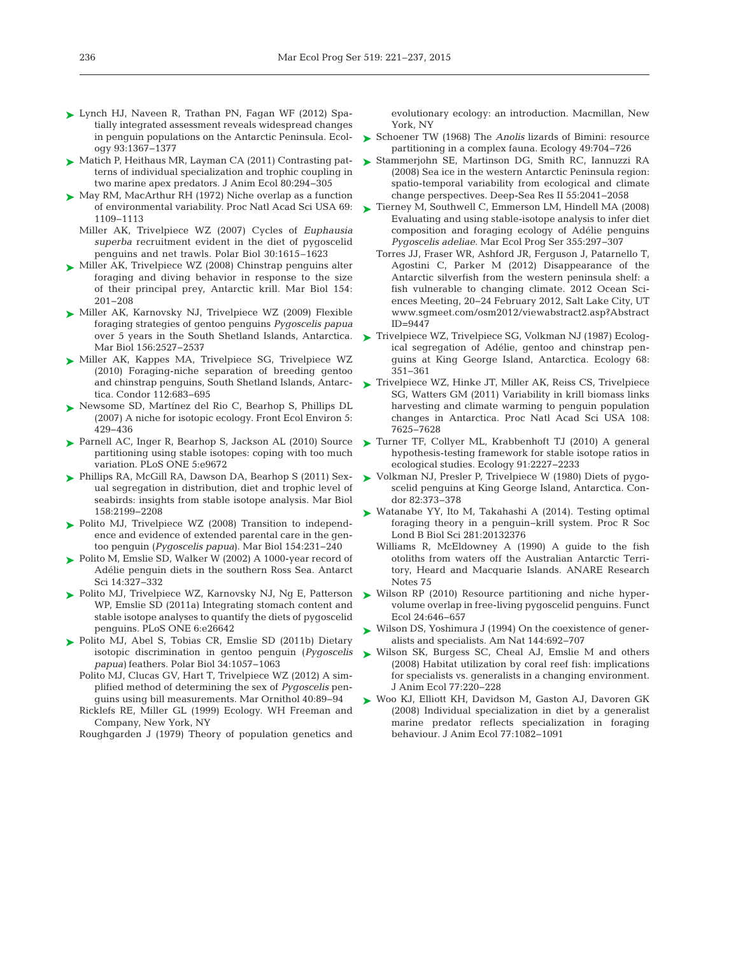- [Lynch HJ, Naveen R, Trathan PN, Fagan WF \(2012\) Spa-](http://dx.doi.org/10.1086/282454)➤ tially integrated assessment reveals widespread changes in penguin populations on the Antarctic Peninsula. Ecology 93: 1367−1377
- ► [Matich P, Heithaus MR, Layman CA \(2011\) Contrasting pat](http://dx.doi.org/10.1111/j.1365-2656.2010.01753.x)terns of individual specialization and trophic coupling in two marine apex predators. J Anim Ecol 80:294-305
- ► [May RM, MacArthur RH \(1972\) Niche overlap as a function](http://dx.doi.org/10.1073/pnas.69.5.1109) of environmental variability. Proc Natl Acad Sci USA 69: 1109−1113
	- Miller AK, Trivelpiece WZ (2007) Cycles of *Euphausia superba* recruitment evident in the diet of pygoscelid penguins and net trawls. Polar Biol 30:1615–1623
- ► [Miller AK, Trivelpiece WZ \(2008\) Chinstrap penguins alter](http://dx.doi.org/10.1007/s00227-008-0909-z) foraging and diving behavior in response to the size of their principal prey, Antarctic krill. Mar Biol 154: 201−208
- ► [Miller AK, Karnovsky NJ, Trivelpiece WZ \(2009\) Flexible](http://dx.doi.org/10.1007/s00227-009-1277-z) foraging strategies of gentoo penguins *Pygoscelis papua* over 5 years in the South Shetland Islands, Antarctica. Mar Biol 156:2527-2537
- ▶ [Miller AK, Kappes MA, Trivelpiece SG, Trivelpiece WZ](http://dx.doi.org/10.1525/cond.2010.090221) (2010) Foraging-niche separation of breeding gentoo and chinstrap penguins, South Shetland Islands, Antarctica. Condor 112:683-695
- ▶ [Newsome SD, Martínez del Rio C, Bearhop S, Phillips DL](http://dx.doi.org/10.1890/060150.1) (2007) A niche for isotopic ecology. Front Ecol Environ 5: 429−436
- [Parnell AC, Inger R, Bearhop S, Jackson AL \(2010\) Source](http://dx.doi.org/10.1371/journal.pone.0009672) ➤ partitioning using stable isotopes: coping with too much variation. PLoS ONE 5:e9672
- [Phillips RA, McGill RA, Dawson DA, Bearhop S \(2011\) Sex-](http://dx.doi.org/10.1007/s00227-011-1725-4)➤ ual segregation in distribution, diet and trophic level of seabirds: insights from stable isotope analysis. Mar Biol 158: 2199−2208
- ▶ [Polito MJ, Trivelpiece WZ \(2008\) Transition to independ](http://dx.doi.org/10.1007/s00227-008-0919-x)ence and evidence of extended parental care in the gentoo penguin (*Pygoscelis papua*). Mar Biol 154: 231−240
- ► [Polito M, Emslie SD, Walker W \(2002\) A 1000-year record of](http://dx.doi.org/10.1017/S0954102002000184) Adélie penguin diets in the southern Ross Sea. Antarct Sci 14: 327−332
- ► [Polito MJ, Trivelpiece WZ, Karnovsky NJ, Ng E, Patterson](http://dx.doi.org/10.1371/journal.pone.0026642) WP, Emslie SD (2011a) Integrating stomach content and stable isotope analyses to quantify the diets of pygoscelid penguins. PLoS ONE 6:e26642
- [Polito MJ, Abel S, Tobias CR, Emslie SD \(2011b\) Dietary](http://dx.doi.org/10.1007/s00300-011-0966-5) ➤ isotopic discrimination in gentoo penguin (*Pygoscelis papua)* feathers. Polar Biol 34: 1057−1063
	- Polito MJ, Clucas GV, Hart T, Trivelpiece WZ (2012) A simplified method of determining the sex of *Pygoscelis* penguins using bill measurements. Mar Ornithol 40:89-94
	- Ricklefs RE, Miller GL (1999) Ecology. WH Freeman and Company, New York, NY

Roughgarden J (1979) Theory of population genetics and

evolutionary ecology: an introduction. Macmillan, New York, NY

- ► Schoener TW (1968) The *Anolis* lizards of Bimini: resource partitioning in a complex fauna. Ecology 49:704-726
- ▶ [Stammerjohn SE, Martinson DG, Smith RC, Iannuzzi RA](http://dx.doi.org/10.1016/j.dsr2.2008.04.026) (2008) Sea ice in the western Antarctic Peninsula region: spatio-temporal variability from ecological and climate change perspectives. Deep-Sea Res II 55: 2041−2058
- [Tierney M, Southwell C, Emmerson LM, Hindell MA \(2008\)](http://dx.doi.org/10.3354/meps07235) ➤ Evaluating and using stable-isotope analysis to infer diet composition and foraging ecology of Adélie penguins *Pygoscelis adeliae*. Mar Ecol Prog Ser 355: 297−307
	- Torres JJ, Fraser WR, Ashford JR, Ferguson J, Patarnello T, Agostini C, Parker M (2012) Disappearance of the Antarctic silverfish from the western peninsula shelf: a fish vulnerable to changing climate. 2012 Ocean Sciences Meeting, 20−24 February 2012, Salt Lake City, UT www.sgmeet.com/osm2012/viewabstract2.asp?Abstract  $ID = 9447$
- ► [Trivelpiece WZ, Trivelpiece SG, Volkman NJ \(1987\) Ecolog](http://dx.doi.org/10.2307/1939266)ical segregation of Adélie, gentoo and chinstrap penguins at King George Island, Antarctica. Ecology 68: 351−361
- ▶ [Trivelpiece WZ, Hinke JT, Miller AK, Reiss CS, Trivelpiece](http://dx.doi.org/10.1073/pnas.1016560108) SG, Watters GM (2011) Variability in krill biomass links harvesting and climate warming to penguin population changes in Antarctica. Proc Natl Acad Sci USA 108: 7625−7628
- ▶ [Turner TF, Collyer ML, Krabbenhoft TJ \(2010\) A general](http://dx.doi.org/10.1890/09-1454.1) hypothesis-testing framework for stable isotope ratios in ecological studies. Ecology 91:2227-2233
- ► Volkman NJ, Presler P, Trivelpiece W (1980) Diets of pygoscelid penguins at King George Island, Antarctica. Condor 82: 373−378
- ► [Watanabe YY, Ito M, Takahashi A \(2014\). Testing optimal](http://dx.doi.org/10.1098/rspb.2013.2376) foraging theory in a penguin−krill system. Proc R Soc Lond B Biol Sci 281: 20132376
	- Williams R, McEldowney A (1990) A guide to the fish otoliths from waters off the Australian Antarctic Territory, Heard and Macquarie Islands. ANARE Research Notes 75
- ► Wilson RP (2010) Resource partitioning and niche hypervolume overlap in free-living pygoscelid penguins. Funct Ecol 24: 646−657
- ► [Wilson DS, Yoshimura J \(1994\) On the coexistence of gener](http://dx.doi.org/10.1086/285702)alists and specialists. Am Nat 144: 692−707
- [Wilson SK, Burgess SC, Cheal AJ, Emslie M and others](http://dx.doi.org/10.1111/j.1365-2656.2007.01341.x) ➤ (2008) Habitat utilization by coral reef fish: implications for specialists vs. generalists in a changing environment. J Anim Ecol 77: 220−228
- [Woo KJ, Elliott KH, Davidson M, Gaston AJ, Davoren GK](http://dx.doi.org/10.1111/j.1365-2656.2008.01429.x) ➤(2008) Individual specialization in diet by a generalist marine predator reflects specialization in foraging behaviour. J Anim Ecol 77: 1082−1091